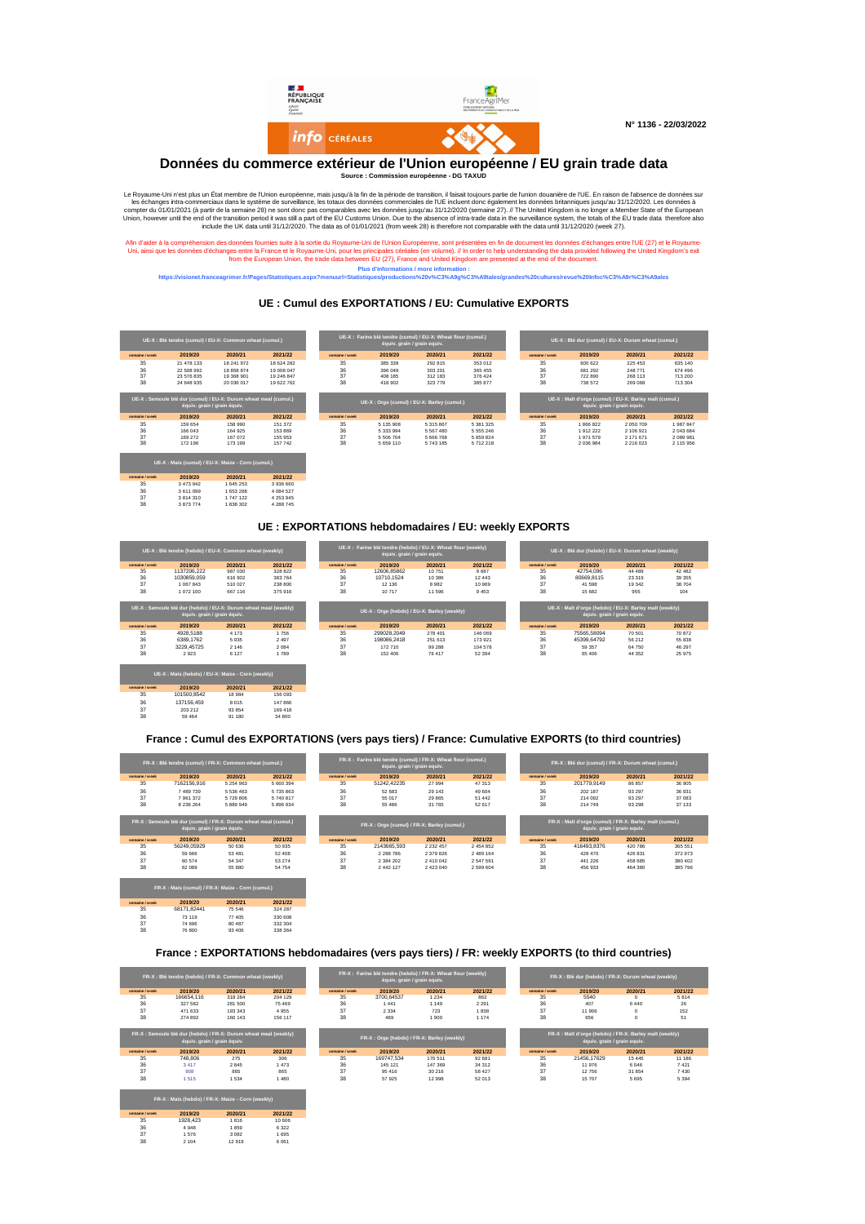**N° 1136 - 22/03/2022**

Afin d'aider à la compréhension des données fournies suite à la sortie du Royaume-Uni de l'Union Européenne, sont présentées en fin de document les données d'échanges entre l'UE (27) et le Royaume-Uni, ainsi que les données d'échanges entre la France et le Royaume-Uni, pour les principales céréales (en volume). // In order to help understanding the data provided following the United Kingdom's exit from the European Union, the trade data between EU (27), France and United Kingdom are presented at the end of the document.

|                |            | UE-X : Blé tendre (cumul) / EU-X: Common wheat (cumul.) |            |                |         | UE-X : Farine blé tendre (cumul) / EU-X: Wheat flour (cumul.)<br>équiv. grain / grain equiv. |         |                | UE-X : Blé dur (cumul) / EU-X: Durum wheat (cumul.) |         |         |
|----------------|------------|---------------------------------------------------------|------------|----------------|---------|----------------------------------------------------------------------------------------------|---------|----------------|-----------------------------------------------------|---------|---------|
| semaine / week | 2019/20    | 2020/21                                                 | 2021/22    | semaine / week | 2019/20 | 2020/21                                                                                      | 2021/22 | semaine / week | 2019/20                                             | 2020/21 | 2021/22 |
| 35             | 21 478 133 | 18 241 972                                              | 18 624 282 | 35             | 385 339 | 292 815                                                                                      | 353 012 | 35             | 600 622                                             | 225 453 | 635 140 |
| 36             | 22 508 992 | 18 858 874                                              | 19 008 047 | 36             | 396 049 | 303 201                                                                                      | 365 455 | 36             | 681 292                                             | 248 771 | 674 496 |
|                | 23 576 835 | 19 368 901                                              | 19 246 847 | 37             | 408 185 | 312 183                                                                                      | 376 424 |                | 722 890                                             | 268 113 | 713 200 |
|                | 24 648 935 | 20 036 017                                              | 19 622 762 | 38             | 418 902 | 323 779                                                                                      | 385 877 | 38             | 738 572                                             | 269 068 | 713 304 |

| UE-X : Semoule blé dur (cumul) / EU-X: Durum wheat meal (cumul.)<br>équiv. grain / grain équiv. |         |         |         | UE-X : Orge (cumul) / EU-X: Barley (cumul.) |           |               |             | UE-X : Malt d'orge (cumul) / EU-X: Barley malt (cumul.) \<br>équiv. grain / grain equiv. |           |               |           |
|-------------------------------------------------------------------------------------------------|---------|---------|---------|---------------------------------------------|-----------|---------------|-------------|------------------------------------------------------------------------------------------|-----------|---------------|-----------|
| semaine / week                                                                                  | 2019/20 | 2020/21 | 2021/22 | semaine / week                              | 2019/20   | 2020/21       | 2021/22     | semaine / week                                                                           | 2019/20   | 2020/21       | 2021/22   |
| 35                                                                                              | 159 654 | 158 990 | 151 372 | 35                                          | 5 135 908 | 5 315 867     | 5 381 325   | 35                                                                                       | 1866822   | 2 050 709     | 1987847   |
| 36                                                                                              | 166 043 | 164 925 | 153 869 | 36                                          | 5 333 994 | 5 5 6 7 4 8 0 | 5 5 5 2 4 6 | 36                                                                                       | 1912222   | 2 106 921     | 2 043 684 |
| 37                                                                                              | 169 272 | 167 072 | 155 953 | 37                                          | 5 506 704 | 5 666 768     | 5 659 824   | 37                                                                                       | 1971579   | 2 171 671     | 2 089 981 |
| 38                                                                                              | 172 196 | 173 199 | 157 742 | 38                                          | 5 659 110 | 5 743 185     | 5 712 218   | 38                                                                                       | 2 036 984 | 2 2 1 6 0 2 3 | 2 115 956 |

| UE-X : Maïs (cumul) / EU-X: Maize - Corn (cumul.) |           |           |           |  |  |  |  |  |
|---------------------------------------------------|-----------|-----------|-----------|--|--|--|--|--|
| semaine / week                                    | 2019/20   | 2020/21   | 2021/22   |  |  |  |  |  |
| 35                                                | 3 473 942 | 1 645 253 | 3936660   |  |  |  |  |  |
| 36                                                | 3611099   | 1 653 268 | 4 084 527 |  |  |  |  |  |
| 37                                                | 3814310   | 1 747 122 | 4 253 945 |  |  |  |  |  |
| 38                                                | 3873774   | 1838302   | 4 288 745 |  |  |  |  |  |

Le Royaume-Uni n'est plus un État membre de l'Union européenne, mais jusqu'à la fin de la période de transition, il faisait toujours partie de l'union douanière de l'UE. En raison de l'absence de données sur les échanges intra-commerciaux dans le système de surveillance, les totaux des données commerciales de l'UE incluent donc également les données britanniques jusqu'au 31/12/2020. Les données à compter du 01/01/2021 (à partir de la semaine 28) ne sont donc pas comparables avec les données jusqu'au 31/12/2020 (semaine 27). // The United Kingdom is no longer a Member State of the European Union, however until the end of the transition period it was still a part of the EU Customs Union. Due to the absence of intra-trade data in the surveillance system, the totals of the EU trade data therefore also include the UK data until 31/12/2020. The data as of 01/01/2021 (from week 28) is therefore not comparable with the data until 31/12/2020 (week 27).

|                | FR-X : Blé tendre (hebdo) / FR-X: Common wheat (weekly) |         |         |                | FR-X : Farine blé tendre (hebdo) / FR-X: Wheat flour (weekly)<br>équiv. grain / grain equiv. |         |         | FR-X : Blé dur (hebdo) / FR-X: Durum wheat (weekly) |         |         |      |  |
|----------------|---------------------------------------------------------|---------|---------|----------------|----------------------------------------------------------------------------------------------|---------|---------|-----------------------------------------------------|---------|---------|------|--|
| semaine / week | 2019/20                                                 | 2020/21 | 2021/22 | semaine / week | 2019/20                                                                                      | 2020/21 | 2021/22 | semaine / week                                      | 2019/20 | 2020/21 | 2021 |  |
|                | 166654,116                                              | 318 284 | 204 129 | 35             | 3700,64537                                                                                   | 1 234   | 862     | 35                                                  | 5540    |         | 581  |  |
|                | 327 582                                                 | 281 500 | 75 469  | 36             | 1 441                                                                                        | 149     | 2 2 9 1 | 36                                                  | 407     | 6440    | 26   |  |
|                | 471 633                                                 | 193 343 | 4955    | 37             | 2 3 3 4                                                                                      | 723     | 1838    | 37                                                  | 11 906  |         | 152  |  |
|                | 274 892                                                 | 160 143 | 156 117 | 38             | 469                                                                                          | l 900   | 1 174   | 38                                                  | 656     |         | 51   |  |

| UE-X : Blé tendre (hebdo) / EU-X: Common wheat (weekly) |             |         |         |                | UE-X : Farine blé tendre (hebdo) / EU-X: Wheat flour (weekly)<br>équiv. grain / grain equiv. |         |         |                | UE-X : Blé dur (hebdo) / EU-X: Durum wheat (weekly) |            |         |         |  |
|---------------------------------------------------------|-------------|---------|---------|----------------|----------------------------------------------------------------------------------------------|---------|---------|----------------|-----------------------------------------------------|------------|---------|---------|--|
| semaine / week                                          | 2019/20     | 2020/21 | 2021/22 | semaine / week | 2019/20                                                                                      | 2020/21 | 2021/22 | semaine / week |                                                     | 2019/20    | 2020/21 | 2021/22 |  |
| 35                                                      | 1137206,222 | 987 030 | 328 822 |                | 12606,85862                                                                                  | 10 751  | 9 687   |                |                                                     | 42754,096  | 44 489  | 42 4 82 |  |
|                                                         | 1030859,059 | 616 902 | 383764  |                | 10710,1524                                                                                   | 10 386  | 12 4 43 | 36             |                                                     | 80669,8115 | 23 319  | 39 355  |  |
|                                                         | 067 843     | 510 027 | 238 800 |                | 12 136                                                                                       | 8982    | 10 969  | 37             |                                                     | 41 598     | 19 342  | 38 704  |  |
|                                                         | 072 100     | 667 116 | 375 916 |                | 10 717                                                                                       | 11 596  | 9453    |                |                                                     | 15 682     | 955     | 104     |  |

|                | UE-X : Semoule blé dur (hebdo) / EU-X: Durum wheat meal (weekly)<br>équiv. grain / grain équiv. |         |         |                | UE-X : Orge (hebdo) / EU-X: Barley (weekly) |         |         |                | UE-X : Malt d'orge (hebdo) / EU-X: Barley malt (weekly)<br>équiv. grain / grain equiv. |         |         |  |
|----------------|-------------------------------------------------------------------------------------------------|---------|---------|----------------|---------------------------------------------|---------|---------|----------------|----------------------------------------------------------------------------------------|---------|---------|--|
| semaine / week | 2019/20                                                                                         | 2020/21 | 2021/22 | semaine / week | 2019/20                                     | 2020/21 | 2021/22 | semaine / week | 2019/20                                                                                | 2020/21 | 2021/22 |  |
| 35             | 4928,5188                                                                                       | 4 1 7 3 | 1756    | 35             | 299028,2049                                 | 278 401 | 146 069 | 35             | 75565,58094                                                                            | 70 501  | 70 872  |  |
| 36             | 6389,1762                                                                                       | 5935    | 2497    | 36             | 198086,2418                                 | 251 613 | 173 921 | 36             | 45399,64792                                                                            | 56 212  | 55 838  |  |
| 37             | 3229,45725                                                                                      | 2 146   | 2 0 8 4 |                | 172 710                                     | 99 288  | 104 578 | 37             | 59 357                                                                                 | 64 750  | 46 297  |  |
| 38             | 2923                                                                                            | 6 1 2 7 | 1789    | 38             | 152 406                                     | 76 417  | 52 394  | 38             | 65 406                                                                                 | 44 352  | 25 975  |  |

| UE-X : Maïs (hebdo) / EU-X: Maize - Corn (weekly) |             |         |         |  |  |  |  |  |
|---------------------------------------------------|-------------|---------|---------|--|--|--|--|--|
| semaine / week                                    | 2019/20     | 2020/21 | 2021/22 |  |  |  |  |  |
| 35                                                | 101500,8542 | 18 984  | 156 093 |  |  |  |  |  |
| 36                                                | 137156,459  | 8015    | 147866  |  |  |  |  |  |
| 37                                                | 203 212     | 93 854  | 169418  |  |  |  |  |  |
| 38                                                | 59 4 64     | 91 180  | 34 800  |  |  |  |  |  |



**Données du commerce extérieur de l'Union européenne / EU grain trade data**

|                |             |           |           |                | FR-X : Farine blé tendre (cumul) / FR-X: Wheat flour (cumul.)<br>équiv. grain / grain equiv. |         |         |                | FR-X : Blé dur (cumul) / FR-X: Durum wheat (cumul.) |         |  |
|----------------|-------------|-----------|-----------|----------------|----------------------------------------------------------------------------------------------|---------|---------|----------------|-----------------------------------------------------|---------|--|
| semaine / week | 2019/20     | 2020/21   | 2021/22   | semaine / week | 2019/20                                                                                      | 2020/21 | 2021/22 | semaine / week | 2019/20                                             | 2020/21 |  |
| 35             | 7162156,916 | 5 254 963 | 5 660 394 | 35             | 51242,42235                                                                                  | 27 994  | 47 313  | 35             | 201779,9149                                         | 86 857  |  |
| 36             | 489 739     | 5 536 463 | 5735863   | 36             | 52 683                                                                                       | 29 143  | 49 604  | 36             | 202 187                                             | 93 297  |  |
| 37             | 7 961 372   | 5729806   | 5740817   | 37             | 55 017                                                                                       | 29 8 65 | 51 442  | 37             | 214 092                                             | 93 297  |  |
| 38             | 8 236 264   | 5 889 949 | 5896934   | 38             | 55 486                                                                                       | 31 765  | 52 617  |                | 214 749                                             | 93 298  |  |

**Source : Commission européenne - DG TAXUD**

**UE : Cumul des EXPORTATIONS / EU: Cumulative EXPORTS**

| UE-X : Blé tendre (cumul) / EU-X: Common wheat (cumul.) |            |            |            |  |  |  |  |  |
|---------------------------------------------------------|------------|------------|------------|--|--|--|--|--|
| semaine / week                                          | 2019/20    | 2020/21    | 2021/22    |  |  |  |  |  |
| 35                                                      | 21 478 133 | 18 241 972 | 18 624 282 |  |  |  |  |  |
| 36                                                      | 22 508 992 | 18 858 874 | 19 008 047 |  |  |  |  |  |
| 37                                                      | 23 576 835 | 19 368 901 | 19 246 847 |  |  |  |  |  |
| 38                                                      | 24 648 935 | 20 036 017 | 19 622 762 |  |  |  |  |  |

|                | FR-X : Semoule blé dur (cumul) / FR-X: Durum wheat meal (cumul.)<br>equiv. grain / grain équiv. |         |         |                | FR-X : Orge (cumul) / FR-X: Barley (cumul.) |               |           |                | FR-X : Malt d'orge (cumul) / FR-X: Barley malt (cumul.)<br>équiv. grain / grain equiv. |         |         |
|----------------|-------------------------------------------------------------------------------------------------|---------|---------|----------------|---------------------------------------------|---------------|-----------|----------------|----------------------------------------------------------------------------------------|---------|---------|
| semaine / week | 2019/20                                                                                         | 2020/21 | 2021/22 | semaine / week | 2019/20                                     | 2020/21       | 2021/22   | semaine / week | 2019/20                                                                                | 2020/21 | 2021/22 |
| 35             | 56249,05929                                                                                     | 50 636  | 50 935  | 35             | 2143665,593                                 | 2 2 3 2 4 5 7 | 2 454 852 | 35             | 416493,8376                                                                            | 420 786 | 365 551 |
| 36             | 59 666                                                                                          | 53 481  | 52 408  | 36             | 2 2 8 7 8 6                                 | 2 379 826     | 2 489 164 | 36             | 428 470                                                                                | 426 831 | 372 973 |
| 37             | 60 574                                                                                          | 54 347  | 53 274  |                | 2 384 202                                   | 2 410 042     | 2 547 591 | 37             | 441 226                                                                                | 458 685 | 380 402 |
| 38             | 62 089                                                                                          | 55 880  | 54 754  | 38             | 2 442 127                                   | 2 423 040     | 2 599 604 | 38             | 456 933                                                                                | 464 380 | 385 796 |

| 31                                                                                              | 23 576 835 | 19 368 901 | 19 246 847 |  |  |  |  |  |  |  |
|-------------------------------------------------------------------------------------------------|------------|------------|------------|--|--|--|--|--|--|--|
| 38                                                                                              | 24 648 935 | 20 036 017 | 19 622 762 |  |  |  |  |  |  |  |
| UE-X : Semoule blé dur (cumul) / EU-X: Durum wheat meal (cumul.)<br>équiv. grain / grain équiv. |            |            |            |  |  |  |  |  |  |  |
| semaine / week                                                                                  | 2019/20    | 2020/21    | 2021/22    |  |  |  |  |  |  |  |
| 35                                                                                              | 159 654    | 158 990    | 151 372    |  |  |  |  |  |  |  |
| 36                                                                                              | 166 043    | 164 925    | 153 869    |  |  |  |  |  |  |  |
| 37                                                                                              | 169 272    | 167 072    | 155 953    |  |  |  |  |  |  |  |

| FR-X : Maïs (cumul) / FR-X: Maize - Corn (cumul.) |             |         |         |  |  |  |  |  |
|---------------------------------------------------|-------------|---------|---------|--|--|--|--|--|
| semaine / week                                    | 2019/20     | 2020/21 | 2021/22 |  |  |  |  |  |
| 35                                                | 68171,82441 | 75 546  | 324 287 |  |  |  |  |  |
| 36                                                | 73 119      | 77 405  | 330 608 |  |  |  |  |  |
| 37                                                | 74 696      | 80 487  | 332 304 |  |  |  |  |  |
| 38                                                | 76 800      | 93 406  | 338 364 |  |  |  |  |  |

| FR-X : Blé tendre (hebdo) / FR-X: Common wheat (weekly) |            |         | FR-X : Farine blé tendre (hebdo) / FR-X: Wheat flour (weekly)<br>∣équiv. grain / grain equiv. <sup>∖</sup> |                |            |         |         | FR-X : Blé dur (hebdo) / FR-X: Durum wheat (weekly) |  |         |         |         |
|---------------------------------------------------------|------------|---------|------------------------------------------------------------------------------------------------------------|----------------|------------|---------|---------|-----------------------------------------------------|--|---------|---------|---------|
| semaine / week                                          | 2019/20    | 2020/21 | 2021/22                                                                                                    | semaine / week | 2019/20    | 2020/21 | 2021/22 | semaine / week                                      |  | 2019/20 | 2020/21 | 2021/22 |
| 35                                                      | 166654,116 | 318 284 | 204 129                                                                                                    | 35             | 3700,64537 | ' 234   | 862     | 35                                                  |  | 5540    |         | 5814    |
|                                                         | 327 582    | 281 500 | 75 469                                                                                                     | 36             | 441        | l 149   | 2 2 9 1 | 36                                                  |  | 407     | 6440    | 26      |
|                                                         | 471 633    | 193 343 | 4 955                                                                                                      |                | 2 334      | 723     | 1838    |                                                     |  | 11 906  |         | 152     |
|                                                         | 274 892    | 160 143 | 156 117                                                                                                    | 38             | 469        | l 900   | l 174   | 38                                                  |  | 656     |         |         |

| FR-X : Semoule blé dur (hebdo) / FR-X: Durum wheat meal (weekly)<br>équiv. grain / grain équiv. |         |         |         |                | FR-X : Orge (hebdo) / FR-X: Barley (weekly) |         |         |  |                | FR-X : Malt d'orge (hebdo) / FR-X: Barley malt (weekly)<br>équiv. grain / grain equiv. |         |         |  |  |
|-------------------------------------------------------------------------------------------------|---------|---------|---------|----------------|---------------------------------------------|---------|---------|--|----------------|----------------------------------------------------------------------------------------|---------|---------|--|--|
| semaine / week                                                                                  | 2019/20 | 2020/21 | 2021/22 | semaine / week | 2019/20                                     | 2020/21 | 2021/22 |  | semaine / week | 2019/20                                                                                | 2020/21 | 2021/22 |  |  |
| 35                                                                                              | 748,806 | 275     | 306     | 35             | 169747,534                                  | 170 511 | 92 681  |  | 35             | 21456,17629                                                                            | 15 4 45 | 11 186  |  |  |
| 36                                                                                              | 3417    | 2845    | 473     | 36             | 145 121                                     | 147 369 | 34 312  |  | 36             | 11 976                                                                                 | 6046    | 7421    |  |  |
|                                                                                                 | 908     | 865     | 865     |                | 95 416                                      | 30 216  | 58 427  |  | 37             | 12 756                                                                                 | 31 854  | 7430    |  |  |
|                                                                                                 | 515     | 1 534   | 480     | -38            | 57 925                                      | 12 998  | 52 013  |  | 38             | 15 707                                                                                 | 5695    | 5 3 9 4 |  |  |

|                | FR-X : Maïs (hebdo) / FR-X: Maize - Corn (weekly) |         |         |
|----------------|---------------------------------------------------|---------|---------|
| semaine / week | 2019/20                                           | 2020/21 | 2021/22 |
| 35             | 1928,423                                          | 1816    | 10 606  |
| 36             | 4 9 4 8                                           | 1859    | 6 3 2 2 |
| 37             | 1576                                              | 3 0 8 2 | 1695    |
| 38             | 2 1 0 4                                           | 12 919  | 6061    |

**Plus d'informations / more information : https://visionet.franceagrimer.fr/Pages/Statistiques.aspx?menuurl=Statistiques/productions%20v%C3%A9g%C3%A9tales/grandes%20cultures/revue%20Infoc%C3%A9r%C3%A9ales**

### **UE : EXPORTATIONS hebdomadaires / EU: weekly EXPORTS**

|                | UE-X : Blé tendre (hebdo) / EU-X: Common wheat (weekly) |         |         |                | UE-X : Farine blé tendre (hebdo) / EU-X: Wheat flour (weekly)<br>équiv. grain / grain equiv. |         |
|----------------|---------------------------------------------------------|---------|---------|----------------|----------------------------------------------------------------------------------------------|---------|
| semaine / week | 2019/20                                                 | 2020/21 | 2021/22 | semaine / week | 2019/20                                                                                      | 2020/21 |
| 35             | 1137206.222                                             | 987 030 | 328 822 | 35             | 12606.85862                                                                                  | 10 751  |
| 36             | 1030859.059                                             | 616 902 | 383764  | 36             | 10710.1524                                                                                   | 10 386  |
| 37             | 1 067 843                                               | 510 027 | 238 800 | 37             | 12 136                                                                                       | 8982    |
| 38             | 1 072 100                                               | 667 116 | 375 916 | 38             | 10717                                                                                        | 11 596  |

| UE-X : Semoule blé dur (hebdo) / EU-X: Durum wheat meal (weekly)<br>équiv. grain / grain équiv. |            |         |         |  |  |  |  |  |  |  |
|-------------------------------------------------------------------------------------------------|------------|---------|---------|--|--|--|--|--|--|--|
| semaine / week                                                                                  | 2019/20    | 2020/21 | 2021/22 |  |  |  |  |  |  |  |
| 35                                                                                              | 4928,5188  | 4 1 7 3 | 1756    |  |  |  |  |  |  |  |
| 36                                                                                              | 6389,1762  | 5935    | 2497    |  |  |  |  |  |  |  |
| 37                                                                                              | 3229,45725 | 2 1 4 6 | 2 0 8 4 |  |  |  |  |  |  |  |
| 38                                                                                              | 2923       | 6 1 2 7 | 1 789   |  |  |  |  |  |  |  |

### **France : Cumul des EXPORTATIONS (vers pays tiers) / France: Cumulative EXPORTS (to third countries)**

| FR-X : Semoule blé dur (cumul) / FR-X: Durum wheat meal (cumul.)<br>équiv. grain / grain équiv. |             |         |         |  |  |  |  |  |  |  |
|-------------------------------------------------------------------------------------------------|-------------|---------|---------|--|--|--|--|--|--|--|
| semaine / week                                                                                  | 2019/20     | 2020/21 | 2021/22 |  |  |  |  |  |  |  |
| 35                                                                                              | 56249,05929 | 50 636  | 50 935  |  |  |  |  |  |  |  |
| 36                                                                                              | 59 666      | 53 481  | 52 408  |  |  |  |  |  |  |  |
| 37                                                                                              | 60 574      | 54 347  | 53 274  |  |  |  |  |  |  |  |
| 38                                                                                              | 62 089      | 55 880  | 54 754  |  |  |  |  |  |  |  |

### **France : EXPORTATIONS hebdomadaires (vers pays tiers) / FR: weekly EXPORTS (to third countries)**

|          | FR-X : Blé tendre (hebdo) / FR-X: Common wheat (weekly) |         |         |                | FR-X : Farine blé tendre (hebdo) / FR-X: Wheat flour (weekly)<br>équiv. grain / grain equiv. |         |  |
|----------|---------------------------------------------------------|---------|---------|----------------|----------------------------------------------------------------------------------------------|---------|--|
| d / week | 2019/20                                                 | 2020/21 | 2021/22 | semaine / week | 2019/20                                                                                      | 2020/21 |  |
|          | 166654.116                                              | 318 284 | 204 129 | 35             | 3700.64537                                                                                   | 1 234   |  |
|          | 327 582                                                 | 281 500 | 75 469  | 36             | 1441                                                                                         | 1 149   |  |

|                | équiv. grain / grain équiv. | FR-X : Semoule blé dur (hebdo) / FR-X: Durum wheat meal (weekly) |         |
|----------------|-----------------------------|------------------------------------------------------------------|---------|
| semaine / week | 2019/20                     | 2020/21                                                          | 2021/22 |
| 35             | 748,806                     | 275                                                              | 306     |
| 36             | 3417                        | 2845                                                             | 1473    |
| 37             | 908                         | 865                                                              | 865     |
| 38             | 1515                        | 1 5 3 4                                                          | 1480    |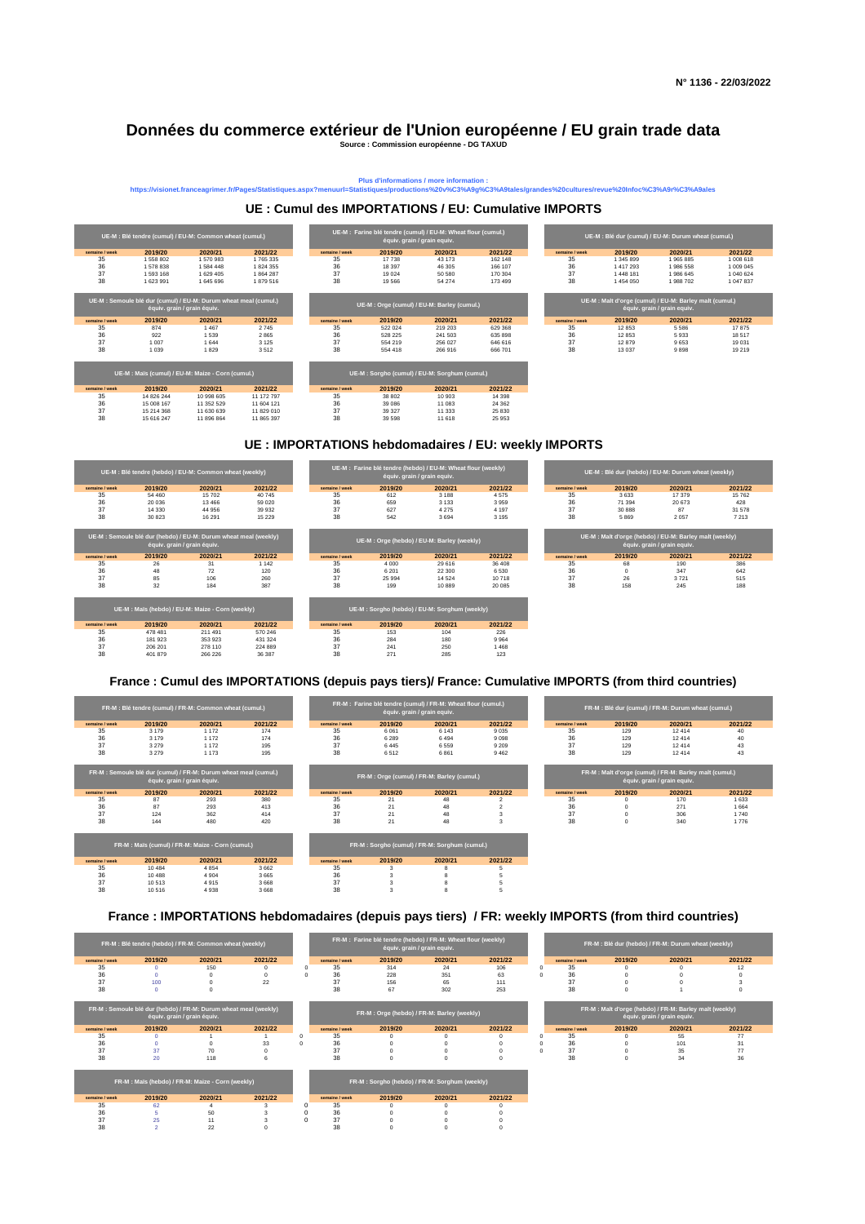| ne / week        | 2019/20 | 2020/21 | 2021/22 | semaine / week | 2019/20 | 2020/21 | 2021/22 | semaine / week | 2019/20 | 2020/21 | 2021/22 |
|------------------|---------|---------|---------|----------------|---------|---------|---------|----------------|---------|---------|---------|
| $\sim$ $-$<br>35 | 874     | 1467    | 2745    | 35             | 522 024 | 219 203 | 629 368 | 35             | 12853   | 5 5 8 6 | 17875   |
| 36               | 922     | 1 539   | 2865    | 36             | 528 225 | 241 503 | 635 898 | 36             | 12 853  | 5933    | 18 517  |
|                  | 1 007   | 1 644   | 3 1 2 5 | 37             | 554 219 | 256 027 | 646 616 | $\sim$<br>ىر   | 12879   | 9653    | 19 031  |
|                  | 1 0 3 9 | 1829    | 3512    | 38             | 554 418 | 266916  | 666 701 | 38             | 13 0 37 | 9898    | 19 219  |
|                  |         |         |         |                |         |         |         |                |         |         |         |
|                  |         |         |         |                |         |         |         |                |         |         |         |
|                  |         |         |         |                |         |         |         |                |         |         |         |

|                |         | UE-M : Semoule blé dur (hebdo) / EU-M: Durum wheat meal (weekly)<br>équiv. grain / grain équiv. |         |                | UE-M : Orge (hebdo) / EU-M: Barley (weekly) |         |         |  |                | UE-M : Malt d'orge (hebdo) / EU-M: Barley malt (weekly)<br>équiv. grain / grain equiv. |         |         |  |
|----------------|---------|-------------------------------------------------------------------------------------------------|---------|----------------|---------------------------------------------|---------|---------|--|----------------|----------------------------------------------------------------------------------------|---------|---------|--|
| semaine / week | 2019/20 | 2020/21                                                                                         | 2021/22 | semaine / week | 2019/20                                     | 2020/21 | 2021/22 |  | semaine / week | 2019/20                                                                                | 2020/21 | 2021/22 |  |
| 35             | 26      |                                                                                                 | 142     | 35             | 4 0 0 0                                     | 29 616  | 36 408  |  |                |                                                                                        | 190     | 386     |  |
| 36             | 48      | 72                                                                                              | 120     | 36             | 6 2 0 1                                     | 22 300  | 6 5 3 0 |  | 36             |                                                                                        | 347     | 642     |  |
| 37             | 85      | 106                                                                                             | 260     | 37             | 25 994                                      | 14 5 24 | 10718   |  | 37             | 26                                                                                     | 3721    | 515     |  |
| 38             | 32      | 184                                                                                             | 387     | วฉ             | 199                                         | 10889   | 20 085  |  |                | 158                                                                                    | 245     | 188     |  |

| UE-M : Orge (hebdo) / EU-M: Barley (weekly) |         |         |         |  |  |  |  |  |  |  |
|---------------------------------------------|---------|---------|---------|--|--|--|--|--|--|--|
| maine / week                                | 2019/20 | 2020/21 | 2021/22 |  |  |  |  |  |  |  |

|                                                                                                 | UE-M : Blé tendre (cumul) / EU-M: Common wheat (cumul.) |           |           |                |         | UE-M : Farine blé tendre (cumul) / EU-M: Wheat flour (cumul.)<br>équiv. grain / grain equiv. |         |                | UE-M : Blé dur (cumul) / EU-M: Durum wheat (cumul.) |                                                                                        |           |  |
|-------------------------------------------------------------------------------------------------|---------------------------------------------------------|-----------|-----------|----------------|---------|----------------------------------------------------------------------------------------------|---------|----------------|-----------------------------------------------------|----------------------------------------------------------------------------------------|-----------|--|
| semaine / week                                                                                  | 2019/20                                                 | 2020/21   | 2021/22   | semaine / week | 2019/20 | 2020/21                                                                                      | 2021/22 | semaine / week | 2019/20                                             | 2020/21                                                                                | 2021/22   |  |
| 35                                                                                              | 1 558 802                                               | 1 570 983 | 1 765 335 | 35             | 17 738  | 43 173                                                                                       | 162 148 | 35             | 1 345 899                                           | 1965885                                                                                | 1 008 618 |  |
| 36                                                                                              | 1 578 838                                               | 1 584 448 | 1824355   | 36             | 18 397  | 46 305                                                                                       | 166 107 | 36             | 1 417 293                                           | 1986 558                                                                               | 1 009 045 |  |
| 37                                                                                              | 1 593 168                                               | 1 629 405 | 1864287   | 37             | 19 0 24 | 50 580                                                                                       | 170 304 | 37             | 1448 181                                            | 1986 645                                                                               | 1 040 624 |  |
| 38                                                                                              | 1 623 991                                               | 1 645 696 | 1879516   | 38             | 19 5 66 | 54 274                                                                                       | 173 499 | 38             | 1 454 050                                           | 1988702                                                                                | 1 047 837 |  |
| UE-M : Semoule blé dur (cumul) / EU-M: Durum wheat meal (cumul.)<br>équiv. grain / grain équiv. |                                                         |           |           |                |         | UE-M : Orge (cumul) / EU-M: Barley (cumul.)                                                  |         |                |                                                     | UE-M : Malt d'orge (cumul) / EU-M: Barley malt (cumul.)<br>équiv. grain / grain equiv. |           |  |
| semaine / week                                                                                  | 2019/20                                                 | 2020/21   | 2021/22   | semaine / week | 2019/20 | 2020/21                                                                                      | 2021/22 | semaine / week | 2019/20                                             | 2020/21                                                                                | 2021/22   |  |
| 35                                                                                              | 874                                                     | 1467      | 2 745     | 35             | 522 024 | 219 203                                                                                      | 629 368 | 35             | 12853                                               | 5 5 8 6                                                                                | 17875     |  |
| 36                                                                                              | 922                                                     | 1 5 3 9   | 2865      | 36             | 528 225 | 241 503                                                                                      | 635 898 | 36             | 12853                                               | 5933                                                                                   | 18517     |  |
| 37                                                                                              | 1 0 0 7                                                 | 1644      | 3 1 2 5   | 37             | 554 219 | 256 027                                                                                      | 646 616 | 37             | 12879                                               | 9653                                                                                   | 19 031    |  |

|           |         | FR-M : Blé tendre (cumul) / FR-M: Common wheat (cumul.) |         |                |         | FR-M: Farine ble tendre (cumul) / FR-M: Wheat flour (cumul.)<br>équiv. grain / grain equiv. |         | FR-M : Blé dur (cumul) / FR-M: Durum wheat (cumul.) |         |         |      |  |
|-----------|---------|---------------------------------------------------------|---------|----------------|---------|---------------------------------------------------------------------------------------------|---------|-----------------------------------------------------|---------|---------|------|--|
| ne / week | 2019/20 | 2020/21                                                 | 2021/22 | semaine / week | 2019/20 | 2020/21                                                                                     | 2021/22 | semaine / week                                      | 2019/20 | 2020/21 | 2021 |  |
|           | 3 1 7 9 | 172                                                     | 174     | 35             | 6 0 61  | 6 1 4 3                                                                                     | 9 0 3 5 | 35                                                  | 129     | 12 4 14 | 40   |  |
| 36        | 3 1 7 9 | 172                                                     | 174     | 36             | 6 2 8 9 | 6494                                                                                        | 9098    | 36                                                  | 129     | 12 4 14 | 40   |  |
|           | 3 2 7 9 | 172                                                     | 195     | 37             | 6445    | 6 5 5 9                                                                                     | 9 2 0 9 |                                                     | 129     | 12 4 14 | 43   |  |
|           | 3 2 7 9 | 173                                                     | 195     | 38             | 6512    | 6861                                                                                        | 9462    | 38                                                  | 129     | 12 4 14 | 43   |  |

|                |         | UE-M : Blé tendre (hebdo) / EU-M: Common wheat (weekly) $^{\top}$ |         |                |         | UE-M : Farine blé tendre (hebdo) / EU-M: Wheat flour (weekly)<br>équiv. grain / grain equiv. |         |                |         | UE-M : Blé dur (hebdo) / EU-M: Durum wheat (weekly) |         |
|----------------|---------|-------------------------------------------------------------------|---------|----------------|---------|----------------------------------------------------------------------------------------------|---------|----------------|---------|-----------------------------------------------------|---------|
| semaine / week | 2019/20 | 2020/21                                                           | 2021/22 | semaine / week | 2019/20 | 2020/21                                                                                      | 2021/22 | semaine / week | 2019/20 | 2020/21                                             | 2021/22 |
| 35             | 54 460  | 15 702                                                            | 40 745  | 35             | 612     | 3 1 8 8                                                                                      | 4575    | 35             | 3633    | 17 379                                              | 15 762  |
| 36             | 20 036  | 13 4 66                                                           | 59 0 20 | 36             | 659     | 3 1 3 3                                                                                      | 3959    | 36             | 71 394  | 20 673                                              | 428     |
|                | 14 330  | 44 956                                                            | 39 932  |                | 627     | 4 2 7 5                                                                                      | 4 1 9 7 | 37             | 30 888  |                                                     | 31 578  |
| 38             | 30 823  | 16 291                                                            | 15 2 29 | 38             | 542     | 3694                                                                                         | 3 1 9 5 | 38             | 5869    | 2 0 5 7                                             | 7 2 1 3 |

| semaine / week | 2019/20 | 2020/21 | 2021 |
|----------------|---------|---------|------|
| 35             | 3633    | 17 379  | 157  |
| 36             | 71 394  | 20 673  | 42   |
| 37             | 30 888  | 87      | 31 E |
| 38             | 5869    | 2057    | 72   |
|                |         |         |      |

|                |            | UE-M : Maïs (cumul) / EU-M: Maize - Corn (cumul.) |            |                |         |         |         |
|----------------|------------|---------------------------------------------------|------------|----------------|---------|---------|---------|
| semaine / week | 2019/20    | 2020/21                                           | 2021/22    | semaine / week | 2019/20 | 2020/21 | 2021/22 |
| 35             | 14 826 244 | 10 998 605                                        | 11 172 797 | 35             | 38 802  | 10 903  | 14 3 98 |
| 36             | 15 008 167 | 11 352 529                                        | 11 604 121 | 36             | 39 0 86 | 11 083  | 24 3 62 |
| 37             | 15 214 368 | 11 630 639                                        | 11 829 010 | 37             | 39 327  | 11 333  | 25 830  |
| 38             | 15 616 247 | 11 896 864                                        | 11 865 397 | 38             | 39 598  | 11 618  | 25 953  |

|                |         | UE-M : Semoule blé dur (hebdo) / EU-M: Durum wheat meal (weekly)<br>équiv. grain / grain équiv. |         |                | UE-M : Orge (hebdo) / EU-M: Barley (weekly) |         |         |                |         | UE-M : Malt d'orge (hebdo) / EU-M: Barley malt (weekly)<br>équiv. grain / grain equiv. |        |
|----------------|---------|-------------------------------------------------------------------------------------------------|---------|----------------|---------------------------------------------|---------|---------|----------------|---------|----------------------------------------------------------------------------------------|--------|
| semaine / week | 2019/20 | 2020/21                                                                                         | 2021/22 | semaine / week | 2019/20                                     | 2020/21 | 2021/22 | semaine / week | 2019/20 | 2020/21                                                                                | 2021/2 |
| 35             | 26      | 31                                                                                              | 1 142   | 35             | 4 0 0 0                                     | 29 616  | 36 408  |                | 68      | 190                                                                                    | 386    |
| 36             | 48      | 72                                                                                              | 120     | 36             | 6 2 0 1                                     | 22 300  | 6530    | 36             |         | 347                                                                                    | 642    |
| 37             | 85      | 106                                                                                             | 260     | -37            | 25 994                                      | 14 5 24 | 10718   | 37             | 26      | 3721                                                                                   | 515    |
| 38             | 32      | 184                                                                                             | 387     | 38             | 199                                         | 10889   | 20 085  | 20             | 158     | 245                                                                                    | 188    |

|                |         | UE-M : Maïs (hebdo) / EU-M: Maize - Corn (weekly) |         |                |         | UE-M : Sorgho (hebdo) / EU-M: Sorghum (weekly) <sup> </sup> |         |
|----------------|---------|---------------------------------------------------|---------|----------------|---------|-------------------------------------------------------------|---------|
| semaine / week | 2019/20 | 2020/21                                           | 2021/22 | semaine / week | 2019/20 | 2020/21                                                     | 2021/22 |
| 35             | 478 481 | 211 491                                           | 570 246 | 35             | 153     | 104                                                         | 226     |
| 36             | 181 923 | 353 923                                           | 431 324 | 36             | 284     | 180                                                         | 9 9 6 4 |
| 37             | 206 201 | 278 110                                           | 224 889 | 37             | 241     | 250                                                         | 468     |
| 38             | 401 879 | 266 226                                           | 36 387  | 38             | 271     | 285                                                         | 123     |

| FR-M : Blé tendre (cumul) / FR-M: Common wheat (cumul.) |         |         |         |                |         | FR-M : Farine blé tendre (cumul) / FR-M: Wheat flour (cumul.)<br>équiv. grain / grain equiv. |         |                | FR-M : Blé dur (cumul) / FR-M: Durum wheat (cumul.) |         |         |  |  |  |
|---------------------------------------------------------|---------|---------|---------|----------------|---------|----------------------------------------------------------------------------------------------|---------|----------------|-----------------------------------------------------|---------|---------|--|--|--|
| semaine / week                                          | 2019/20 | 2020/21 | 2021/22 | semaine / week | 2019/20 | 2020/21                                                                                      | 2021/22 | semaine / week | 2019/20                                             | 2020/21 | 2021/22 |  |  |  |
| 35                                                      | 3 1 7 9 | 1 172   | 174     | 35             | 6061    | 6 143                                                                                        | 9035    |                | 129                                                 | 12414   |         |  |  |  |
| 36                                                      | 3 1 7 9 | 1 172   | 174     | 36             | 6 2 8 9 | 6494                                                                                         | 9098    |                | 129                                                 | 12 4 14 |         |  |  |  |
|                                                         | 3 2 7 9 | 1 172   | 195     |                | 6445    | 6559                                                                                         | 9 2 0 9 |                | 129                                                 | 12 4 14 |         |  |  |  |
| 38                                                      | 3 2 7 9 | 1 173   | 195     | 38             | 6512    | 6861                                                                                         | 9462    |                | 129                                                 | 12 4 14 |         |  |  |  |

| semaine / week | 2019/20  | 2020/21 | 2021/22 | semaine / week | 2019/20 | 2020/21 | 2021/22 |
|----------------|----------|---------|---------|----------------|---------|---------|---------|
| 35             | 62       |         |         | 35             |         |         |         |
| 36             |          | 50      |         | 36             |         |         |         |
| 37             | つに<br>دے |         |         | 27<br>ັັ       |         |         |         |

#### 38 2 22 0 38 0 0 0 0

### **UE : Cumul des IMPORTATIONS / EU: Cumulative IMPORTS**

| FR-M : Blé tendre (hebdo) / FR-M: Common wheat (weekly) |         |         |         |  | FR-M : Farine blé tendre (hebdo) / FR-M: Wheat flour (weekly)<br>équiv. grain / grain equiv. |         |         |         |  | FR-M : Blé dur (hebdo) / FR-M: Durum wheat (weekly) |         |         |         |  |  |
|---------------------------------------------------------|---------|---------|---------|--|----------------------------------------------------------------------------------------------|---------|---------|---------|--|-----------------------------------------------------|---------|---------|---------|--|--|
| semaine / week                                          | 2019/20 | 2020/21 | 2021/22 |  | semaine / week                                                                               | 2019/20 | 2020/21 | 2021/22 |  | semaine / week                                      | 2019/20 | 2020/21 | 2021/22 |  |  |
| 35                                                      |         | 150     |         |  | 35                                                                                           | 314     | 24      | 106     |  | -35                                                 |         |         |         |  |  |
| 36                                                      |         |         |         |  | 36                                                                                           | 228     | 351     | 63      |  | 36                                                  |         |         |         |  |  |
|                                                         | 100     |         |         |  |                                                                                              | 156     | 65      | 111     |  |                                                     |         |         |         |  |  |
|                                                         |         |         |         |  | 38                                                                                           | 67      | 302     | 253     |  | 38                                                  |         |         |         |  |  |

| M : Semoule blé dur (cumul) / FR-M: Durum wheat meal (cumul.)<br>équiv. grain / grain équiv. |         |         |         |                |         | FR-M : Orge (cumul) / FR-M: Barley (cumul.) |         | FR-M : Malt d'orge (cumul) / FR-M: Barley malt (cumul.)<br>équiv. grain / grain equiv. |         |         |         |  |
|----------------------------------------------------------------------------------------------|---------|---------|---------|----------------|---------|---------------------------------------------|---------|----------------------------------------------------------------------------------------|---------|---------|---------|--|
| ne / week                                                                                    | 2019/20 | 2020/21 | 2021/22 | semaine / week | 2019/20 | 2020/21                                     | 2021/22 | semaine / week                                                                         | 2019/20 | 2020/21 | 2021/22 |  |
|                                                                                              | 87      | 293     | 380     | 35             | -21     | 48                                          |         | -35                                                                                    |         | 170     | 1 633   |  |
|                                                                                              | 87      | 293     | 413     | 36             | 21      | 48                                          |         |                                                                                        |         | 271     | 1 664   |  |
|                                                                                              | 124     | 362     | 414     | 37             | 21      | 48                                          |         |                                                                                        |         | 306     | 1740    |  |
|                                                                                              | 144     | 480     | 420     | 38             | 21      | 48                                          |         |                                                                                        |         | 340     | 1776    |  |

|                |         | FR-M : Maïs (cumul) / FR-M: Maize - C <u>orn (cumul.)</u> |         | FR-M : Sorgho (cumul) / FR-M: Sorghum (cumul.) |         |         |         |  |  |
|----------------|---------|-----------------------------------------------------------|---------|------------------------------------------------|---------|---------|---------|--|--|
| semaine / week | 2019/20 | 2020/21                                                   | 2021/22 | semaine / week                                 | 2019/20 | 2020/21 | 2021/22 |  |  |
| 35             | 10 484  | 4 8 5 4                                                   | 3662    | 35                                             |         |         |         |  |  |
| 36             | 10488   | 4 9 0 4                                                   | 3665    | 36                                             |         |         |         |  |  |
| 37             | 10 513  | 4915                                                      | 3668    | 37                                             |         |         |         |  |  |
| 38             | 10516   | 4938                                                      | 3668    | 38                                             |         |         |         |  |  |

### **UE : IMPORTATIONS hebdomadaires / EU: weekly IMPORTS**

|                |         | UE-M : Blé tendre (hebdo) / EU-M: Common wheat (weekly) |         |
|----------------|---------|---------------------------------------------------------|---------|
| semaine / week | 2019/20 | 2020/21                                                 | 2021/22 |
| 35             | 54 460  | 15 702                                                  | 40 745  |
| 36             | 20 036  | 13 4 6 6                                                | 59 0 20 |
| 37             | 14 330  | 44 956                                                  | 39 932  |
| 38             | 30.823  | 16 291                                                  | 15 229  |

|                |         | FR-M : Blé tendre (cumul) / FR-M: Common wheat (cumul.) |         |                |         | FR-M : Farine blé tendre (cumul) / FR-M: Wheat flour (cumul.)<br>équiv. grain / grain equiv. |                 |
|----------------|---------|---------------------------------------------------------|---------|----------------|---------|----------------------------------------------------------------------------------------------|-----------------|
| semaine / week | 2019/20 | 2020/21                                                 | 2021/22 | semaine / week | 2019/20 | 2020/21                                                                                      | 2021            |
| 35             | 3 1 7 9 | 172                                                     | 174     | 35             | 6061    | 6 143                                                                                        | 903             |
| 36             | 3 1 7 9 | 172                                                     | 174     | 36             | 6 2 8 9 | 6494                                                                                         | 90 <sup>c</sup> |
| 37             | 3 2 7 9 | 172                                                     | 195     | 37             | 6445    | 6 5 5 9                                                                                      | 9 2 0           |
| 38             | 3 2 7 9 | -173                                                    | 195     | 38             | 6512    | 6861                                                                                         | 946             |

|                |         | FR-M : Semoule blé dur (hebdo) / FR-M: Durum wheat meal (weekly)<br>équiv. grain / grain équiv. |         |                |         | FR-M : Orge (hebdo) / FR-M: Barley (weekly) |         |                |         | FR-M: Malt d'orge (hebdo) / FR-M: Barley malt (weekly)<br>équiv. grain / grain equiv. |         |
|----------------|---------|-------------------------------------------------------------------------------------------------|---------|----------------|---------|---------------------------------------------|---------|----------------|---------|---------------------------------------------------------------------------------------|---------|
| semaine / week | 2019/20 | 2020/21                                                                                         | 2021/22 | semaine / week | 2019/20 | 2020/21                                     | 2021/22 | semaine / week | 2019/20 | 2020/21                                                                               | 2021/22 |
| 35             |         |                                                                                                 |         | 35             |         |                                             |         | -35            |         | 55                                                                                    |         |
| 36             |         |                                                                                                 | 33      | 36             |         |                                             |         | 36             |         | 101                                                                                   |         |
|                |         |                                                                                                 |         |                |         |                                             |         |                |         |                                                                                       |         |
|                |         | 118                                                                                             |         | 38             |         |                                             |         | 38             |         |                                                                                       | 36      |

|        | tendre (hebdo) / FR-M: Wheat flour (weekly)<br>équiv. grain / grain equiv. |         |                |         | FR-M : Blé dur (hebdo) / FR-M: Durum wheat (weekly) |         |  |
|--------|----------------------------------------------------------------------------|---------|----------------|---------|-----------------------------------------------------|---------|--|
| 019/20 | 2020/21                                                                    | 2021/22 | semaine / week | 2019/20 | 2020/21                                             | 2021/22 |  |
| 314    | 24                                                                         | 106     | 35             |         |                                                     |         |  |
| 228    | 351                                                                        | 63      | 36             |         |                                                     |         |  |
| 156    | 65                                                                         | 111     | 37             |         |                                                     |         |  |
| 67     | 302                                                                        | 253     | 38             |         |                                                     |         |  |
|        |                                                                            |         |                |         |                                                     |         |  |

**Plus d'informations / more information :** 

**https://visionet.franceagrimer.fr/Pages/Statistiques.aspx?menuurl=Statistiques/productions%20v%C3%A9g%C3%A9tales/grandes%20cultures/revue%20Infoc%C3%A9r%C3%A9ales**

# **Données du commerce extérieur de l'Union européenne / EU grain trade data**

**Source : Commission européenne - DG TAXUD**

**FR-M : Sorgho (hebdo) / FR-M: Sorghum (weekly)**

## **France : IMPORTATIONS hebdomadaires (depuis pays tiers) / FR: weekly IMPORTS (from third countries)**

|                |         | FR-M : Blé tendre (hebdo) / FR-M: Common wheat (weekly) |         |
|----------------|---------|---------------------------------------------------------|---------|
| semaine / week | 2019/20 | 2020/21                                                 | 2021/22 |
| 35             |         | 150                                                     |         |
| 36             |         |                                                         |         |
| 37             | 100     |                                                         | 22      |
| 38             |         |                                                         |         |

| FR-M : Semoule blé dur (hebdo) / FR-M: Durum wheat meal (weekly)<br>équiv. grain / grain équiv. |         |         |         |  |  |  |  |  |  |  |  |  |
|-------------------------------------------------------------------------------------------------|---------|---------|---------|--|--|--|--|--|--|--|--|--|
| semaine / week                                                                                  | 2019/20 | 2020/21 | 2021/22 |  |  |  |  |  |  |  |  |  |
| 35                                                                                              |         |         |         |  |  |  |  |  |  |  |  |  |
| 36                                                                                              |         |         | 33      |  |  |  |  |  |  |  |  |  |
| 37                                                                                              | 37      | 70      |         |  |  |  |  |  |  |  |  |  |
| 38                                                                                              | 20      | 118     |         |  |  |  |  |  |  |  |  |  |

| FR-M: Malt d'orge (hebdo) / FR-M: Barley malt (weekly)<br>équiv. grain / grain equiv. |         |         |         |  |  |  |  |  |  |  |  |  |
|---------------------------------------------------------------------------------------|---------|---------|---------|--|--|--|--|--|--|--|--|--|
| semaine / week                                                                        | 2019/20 | 2020/21 | 2021/22 |  |  |  |  |  |  |  |  |  |
| 35                                                                                    |         | 55      | 77      |  |  |  |  |  |  |  |  |  |
| 36                                                                                    |         | 101     | 31      |  |  |  |  |  |  |  |  |  |
| 37                                                                                    |         | 35      |         |  |  |  |  |  |  |  |  |  |
|                                                                                       |         | 34      | 36      |  |  |  |  |  |  |  |  |  |

 **FR-M : Maïs (hebdo) / FR-M: Maize - Corn (weekly)**

|                |         | FR-M : Sorgho (cumul) / FR-M: Sorghum (cumul.) |         |
|----------------|---------|------------------------------------------------|---------|
| semaine / week | 2019/20 | 2020/21                                        | 2021/22 |
| 35             | 3       | 8                                              | b       |
| 36             |         |                                                | 5       |
| 37             |         |                                                | 5       |
|                |         |                                                |         |

### **France : Cumul des IMPORTATIONS (depuis pays tiers)/ France: Cumulative IMPORTS (from third countries)**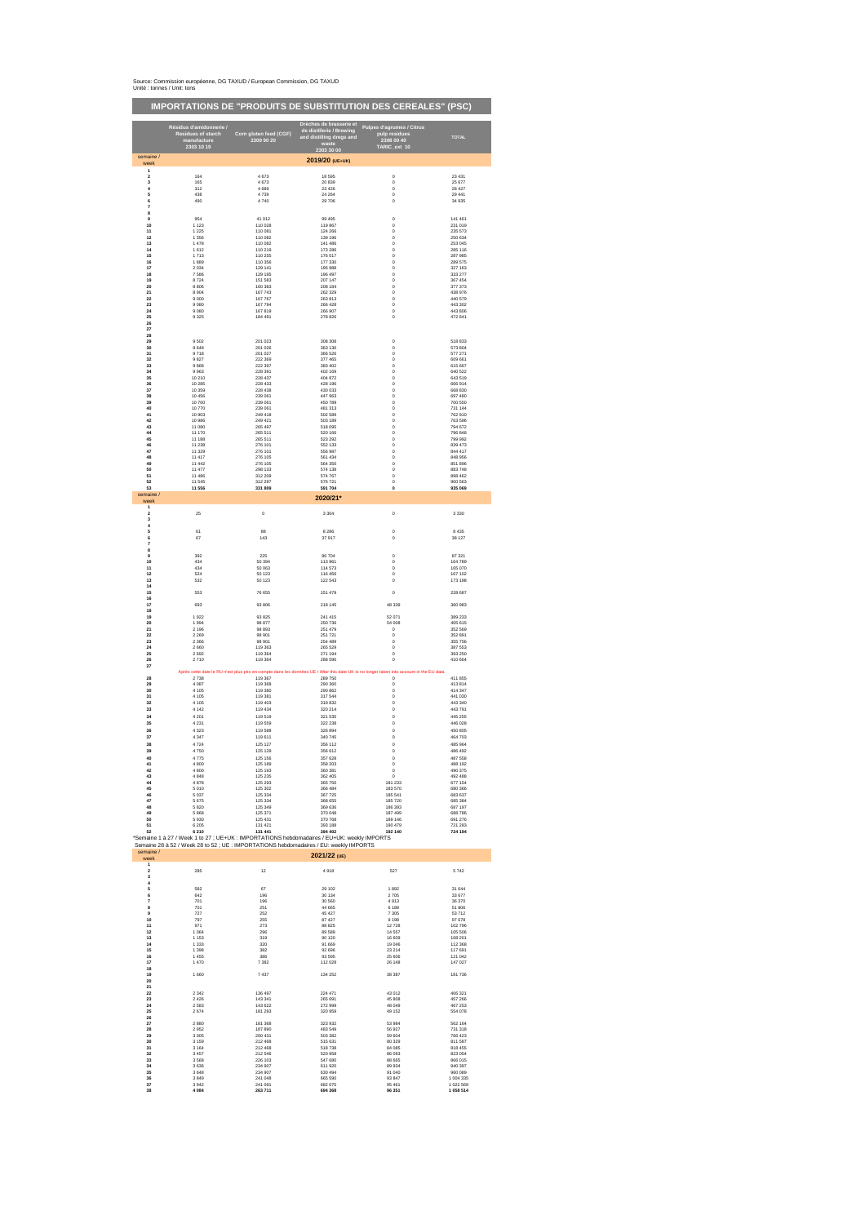#### Source: Commission européenne, DG TAXUD / European Commission, DG TAXUD Unité : tonnes / Unit: tons

### **IMPORTATIONS DE "PRODUITS DE SUBSTITUTION DES CEREALES" (PSC)**

|                            | Résidus d'amidonnerie /<br><b>Residues of starch</b><br>manufacture<br>2303 10 19 | Corn gluten feed (CGF)<br>2309 90 20 | Drèches de brasserie et<br>de distillerie / Brewing<br>and distilling dregs and<br>waste<br>2303 30 00                                                                                | <b>Pulpes d'agrumes / Citrus</b><br>pulp residues<br>2308 00 40<br>TARIC_ext 10                                                                              | <b>TOTAL</b>       |
|----------------------------|-----------------------------------------------------------------------------------|--------------------------------------|---------------------------------------------------------------------------------------------------------------------------------------------------------------------------------------|--------------------------------------------------------------------------------------------------------------------------------------------------------------|--------------------|
| semaine /<br>week          |                                                                                   |                                      | 2019/20 (UE+UK)                                                                                                                                                                       |                                                                                                                                                              |                    |
| 1<br>$\boldsymbol{2}$<br>3 | 164<br>165                                                                        | 4 6 7 3<br>4 6 7 3                   | 18 595<br>20 839                                                                                                                                                                      | $\pmb{0}$<br>$\pmb{0}$                                                                                                                                       | 23 4 31<br>25 677  |
| 4                          | 312                                                                               | 4689                                 | 23 4 26                                                                                                                                                                               | $\mathbf 0$                                                                                                                                                  | 28 4 27            |
| 5                          | 438                                                                               | 4739                                 | 24 264                                                                                                                                                                                | $\mathbf 0$                                                                                                                                                  | 29 441             |
| 6<br>$\bf 7$<br>8          | 490                                                                               | 4740                                 | 29 706                                                                                                                                                                                | $\pmb{0}$                                                                                                                                                    | 34 935             |
| 9                          | 954                                                                               | 41 012                               | 99 4 95                                                                                                                                                                               | $\pmb{0}$                                                                                                                                                    | 141 461            |
| $10$                       | 1 1 2 3                                                                           | 110 028                              | 119 867                                                                                                                                                                               | $\pmb{0}$                                                                                                                                                    | 231 019            |
| 11                         | 1 2 2 5                                                                           | 110 081                              | 124 266                                                                                                                                                                               | $\mathbf 0$                                                                                                                                                  | 235 573            |
| 12                         | 1 3 5 6                                                                           | 110 082                              | 139 196                                                                                                                                                                               | $\mathbf 0$                                                                                                                                                  | 250 634            |
| 13                         | 1 4 7 8                                                                           | 110 082                              | 141 486                                                                                                                                                                               | $\mathbf 0$                                                                                                                                                  | 253 045            |
| 14                         | 1612                                                                              | 110 219                              | 173 286                                                                                                                                                                               | $\mathbf 0$                                                                                                                                                  | 285 116            |
| 15                         | 1713                                                                              | 110 255                              | 176 017                                                                                                                                                                               | $\pmb{0}$                                                                                                                                                    | 287 985            |
| 16                         | 1889                                                                              | 110 356                              | 177 330                                                                                                                                                                               | $\mathbf 0$                                                                                                                                                  | 289 575            |
| 17                         | 2 0 3 4                                                                           | 129 141                              | 195 988                                                                                                                                                                               | $\mathbf 0$                                                                                                                                                  | 327 163            |
| 18                         | 7586                                                                              | 129 195                              | 196 497                                                                                                                                                                               | $\mathbf 0$                                                                                                                                                  | 333 277            |
| 19                         | 8724                                                                              | 151 583                              | 207 147                                                                                                                                                                               | $\pmb{0}$                                                                                                                                                    | 367 454            |
| ${\bf 20}$                 | 8 8 0 6                                                                           | 160 383                              | 208 184                                                                                                                                                                               | $\pmb{0}$                                                                                                                                                    | 377 373            |
| 21                         | 8 9 0 4                                                                           | 167 743                              | 262 329                                                                                                                                                                               | $\pmb{0}$                                                                                                                                                    | 438 976            |
| 22                         | 9 0 0 0                                                                           | 167 767                              | 263 813                                                                                                                                                                               | 0                                                                                                                                                            | 440 579            |
| 23                         | 9 0 8 0                                                                           | 167 794                              | 266 428                                                                                                                                                                               | $\mathbf 0$                                                                                                                                                  | 443 302            |
| ${\bf 24}$                 | 9 0 8 0                                                                           | 167819                               | 266 907                                                                                                                                                                               | $\mathbf 0$                                                                                                                                                  | 443 806            |
| 25<br>26                   | 9 3 2 5                                                                           | 184 491                              | 278 826                                                                                                                                                                               | $\pmb{0}$                                                                                                                                                    | 472 641            |
| 27<br>28                   |                                                                                   |                                      |                                                                                                                                                                                       |                                                                                                                                                              |                    |
| 29                         | 9502                                                                              | 201 023                              | 308 308                                                                                                                                                                               | $\pmb{0}$                                                                                                                                                    | 518 833            |
| $30\,$                     | 9648                                                                              | 201 026                              | 363 130                                                                                                                                                                               | 0                                                                                                                                                            | 573 804            |
| 31                         | 9718                                                                              | 201 027                              | 366 526                                                                                                                                                                               | $\mathbf 0$                                                                                                                                                  | 577 271            |
| 32                         | 9827                                                                              | 222 369                              | 377 465                                                                                                                                                                               | $\pmb{0}$                                                                                                                                                    | 609 661            |
| 33                         | 9868                                                                              | 222 397                              | 383 402                                                                                                                                                                               | 0                                                                                                                                                            | 615 667            |
| 34                         | 9963                                                                              | 228 391                              | 402 169                                                                                                                                                                               | $\pmb{0}$                                                                                                                                                    | 640 522            |
| 35                         | 10 210                                                                            | 228 437                              | 404 872                                                                                                                                                                               | $\pmb{0}$                                                                                                                                                    | 643 519            |
| 36                         | 10 285                                                                            | 228 433                              | 428 196                                                                                                                                                                               | $\mathbf 0$                                                                                                                                                  | 666 914            |
| 37                         | 10 359                                                                            | 228 438                              | 430 033                                                                                                                                                                               | $\mathbf 0$                                                                                                                                                  | 668 830            |
| 38                         | 10 456                                                                            | 239 061                              | 447 963                                                                                                                                                                               | $\mathbf 0$                                                                                                                                                  | 697 480            |
| 39                         | 10 700                                                                            | 239 061                              | 450 789                                                                                                                                                                               | $\mathbf 0$                                                                                                                                                  | 700 550            |
| 40                         | 10 770                                                                            | 239 061                              | 481 313                                                                                                                                                                               | $\pmb{0}$                                                                                                                                                    | 731 144            |
| 41                         | 10 903                                                                            | 249 418                              | 502 589                                                                                                                                                                               | $\mathbf 0$                                                                                                                                                  | 762 910            |
| 42                         | 10 986                                                                            | 249 421                              | 503 189                                                                                                                                                                               | $\mathbf 0$                                                                                                                                                  | 763 596            |
| 43                         | 11 080                                                                            | 265 497                              | 518 095                                                                                                                                                                               | $\mathbf 0$                                                                                                                                                  | 794 672            |
| 44                         | 11 170                                                                            | 265 511                              | 520 166                                                                                                                                                                               | $\mathbf 0$                                                                                                                                                  | 796 848            |
| 45                         | 11 188                                                                            | 265 511                              | 523 292                                                                                                                                                                               | $\mathbf 0$                                                                                                                                                  | 799 992            |
| 46                         | 11 238                                                                            | 276 101                              | 552 133                                                                                                                                                                               | $\pmb{0}$                                                                                                                                                    | 839 473            |
| 47                         | 11 329                                                                            | 276 101                              | 556 987                                                                                                                                                                               | $\pmb{0}$                                                                                                                                                    | 844 417            |
| 48                         | 11 417                                                                            | 276 105                              | 561 434                                                                                                                                                                               | $\mathbf 0$                                                                                                                                                  | 848 956            |
| 49                         | 11 4 4 2                                                                          | 276 105                              | 564 350                                                                                                                                                                               | $\mathbf 0$                                                                                                                                                  | 851 896            |
| ${\bf 50}$                 | 11 477                                                                            | 298 133                              | 574 138                                                                                                                                                                               | $\mathbf 0$                                                                                                                                                  | 883748             |
| 51                         | 11 486                                                                            | 312 209                              | 574 767                                                                                                                                                                               | $\pmb{0}$                                                                                                                                                    | 898 462            |
| 52<br>53<br>semaine /      | 11 545<br>11 556                                                                  | 312 297<br>331 809                   | 576 721<br>591 704                                                                                                                                                                    | $\mathbf 0$<br>$\pmb{0}$                                                                                                                                     | 900 563<br>935 069 |
| week<br>$\mathbf{1}$       |                                                                                   |                                      | 2020/21*                                                                                                                                                                              |                                                                                                                                                              |                    |
| $\mathbf 2$<br>3           | 25                                                                                | $\pmb{0}$                            | 3 3 0 4                                                                                                                                                                               | $\mathbf 0$                                                                                                                                                  | 3 3 3 0            |
| 4<br>5<br>6<br>$\bf 7$     | 61<br>67                                                                          | 88<br>143                            | 8 2 8 6<br>37 917                                                                                                                                                                     | $\mathbf 0$<br>$\mathbf 0$                                                                                                                                   | 8 4 3 5<br>38 127  |
| 8<br>9                     | 392                                                                               | 225                                  | 86 704                                                                                                                                                                                | 0                                                                                                                                                            | 87 321             |
| $10$                       | 434                                                                               | 50 394                               | 113 961                                                                                                                                                                               | $\mathbf 0$                                                                                                                                                  | 164 789            |
| 11                         | 434                                                                               | 50 063                               | 114 573                                                                                                                                                                               | $\mathbf 0$                                                                                                                                                  | 165 070            |
| 12<br>13<br>14             | 524<br>532                                                                        | 50 123<br>50 123                     | 116 456<br>122 543                                                                                                                                                                    | $\pmb{0}$<br>$\pmb{0}$                                                                                                                                       | 167 102<br>173 198 |
| 15<br>16                   | 553                                                                               | 76 655                               | 151 479                                                                                                                                                                               | $\pmb{0}$                                                                                                                                                    | 228 687            |
| 17<br>18                   | 693                                                                               | 93 806                               | 218 145                                                                                                                                                                               | 48 339                                                                                                                                                       | 360 983            |
| 19                         | 1922                                                                              | 93 825                               | 241 415                                                                                                                                                                               | 52 071                                                                                                                                                       | 389 233            |
| 20                         | 1994                                                                              | 98 877                               | 250 736                                                                                                                                                                               | 54 008                                                                                                                                                       | 405 615            |
| 21                         | 2 1 9 6                                                                           | 98 893                               | 251 479                                                                                                                                                                               | 0                                                                                                                                                            | 352 569            |
| ${\bf 22}$                 | 2 2 6 9                                                                           | 98 901                               | 251 721                                                                                                                                                                               | $\pmb{0}$                                                                                                                                                    | 352 891            |
| 23                         | 2 3 6 6                                                                           | 98 901                               | 254 489                                                                                                                                                                               | 0                                                                                                                                                            | 355 756            |
| ${\bf 24}$                 | 2 6 6 0                                                                           | 119 363                              | 265 529                                                                                                                                                                               | 0                                                                                                                                                            | 387 553            |
| 25                         | 2692                                                                              | 119 364                              | 271 194                                                                                                                                                                               | $\pmb{0}$                                                                                                                                                    | 393 250            |
| ${\bf 26}$<br>27           | 2710                                                                              | 119 364                              | 288 590                                                                                                                                                                               | $\boldsymbol{0}$<br>Après cette date le RU n'est plus pris en compte dans les données UE / After this date UK is no longer taken into account in the EU data | 410 664            |
| 28                         | 2738                                                                              | 119 367                              | 289 750                                                                                                                                                                               | $\pmb{0}$                                                                                                                                                    | 411 855            |
| 29                         | 4 0 8 7                                                                           | 119 368                              | 290 360                                                                                                                                                                               | $\pmb{0}$                                                                                                                                                    | 413814             |
| $30\,$                     | 4 1 0 5                                                                           | 119 380                              | 290 862                                                                                                                                                                               | 0                                                                                                                                                            | 414 347            |
| 31                         | 4 1 0 5                                                                           | 119 381                              | 317 544                                                                                                                                                                               | $\boldsymbol{0}$                                                                                                                                             | 441 030            |
| 32                         | 4 1 0 5                                                                           | 119 403                              | 319 832                                                                                                                                                                               | 0                                                                                                                                                            | 443 340            |
| 33                         | 4 1 4 2                                                                           | 119 434                              | 320 214                                                                                                                                                                               | 0                                                                                                                                                            | 443791             |
| 34                         | 4 2 0 1                                                                           | 119519                               | 321 535                                                                                                                                                                               | 0                                                                                                                                                            | 445 255            |
| 35                         | 4 2 3 1                                                                           | 119 559                              | 322 238                                                                                                                                                                               | 0                                                                                                                                                            | 446 028            |
| 36                         | 4 3 2 3                                                                           | 119 588                              | 326 894                                                                                                                                                                               | 0                                                                                                                                                            | 450 805            |
| 37                         | 4 3 4 7                                                                           | 119 611                              | 340 745                                                                                                                                                                               | 0                                                                                                                                                            | 464 703            |
| 38                         | 4 7 2 4                                                                           | 125 127                              | 356 112                                                                                                                                                                               | 0                                                                                                                                                            | 485 964            |
| 39                         | 4750                                                                              | 125 129                              | 356 612                                                                                                                                                                               | 0                                                                                                                                                            | 486 492            |
| 40                         | 4775                                                                              | 125 156                              | 357 628                                                                                                                                                                               | 0                                                                                                                                                            | 487 558            |
| 41                         | 4 8 0 0                                                                           | 125 189                              | 358 203                                                                                                                                                                               | 0                                                                                                                                                            | 488 192            |
| 42                         | 4 8 0 0                                                                           | 125 193                              | 360 381                                                                                                                                                                               | $\pmb{0}$                                                                                                                                                    | 490 375            |
| 43                         | 4 8 4 8                                                                           | 125 235                              | 362 405                                                                                                                                                                               | $\pmb{0}$                                                                                                                                                    | 492 488            |
| 44                         | 4878                                                                              | 125 293                              | 365 750                                                                                                                                                                               | 181 233                                                                                                                                                      | 677 154            |
| 45                         | 5 0 1 0                                                                           | 125 302                              | 366 484                                                                                                                                                                               | 183 570                                                                                                                                                      | 680 366            |
| 46                         | 5 0 3 7                                                                           | 125 334                              | 367 725                                                                                                                                                                               | 185 541                                                                                                                                                      | 683 637            |
| 47                         | 5675                                                                              | 125 334                              | 368 655                                                                                                                                                                               | 185 720                                                                                                                                                      | 685 384            |
| 48                         | 5 8 20                                                                            | 125 349                              | 369 636                                                                                                                                                                               | 186 393                                                                                                                                                      | 687 197            |
| 49                         | 5868                                                                              | 125 371                              | 370 048                                                                                                                                                                               | 187 499                                                                                                                                                      | 688786             |
| 50                         | 5930                                                                              | 125 431                              | 370 768                                                                                                                                                                               | 189 146                                                                                                                                                      | 691 276            |
| 51                         | 6 2 0 5                                                                           | 131 421                              | 393 188                                                                                                                                                                               | 190 479                                                                                                                                                      | 721 293            |
| 52                         | 6 2 1 0                                                                           | 131 441                              | 394 402                                                                                                                                                                               | 192 140                                                                                                                                                      | 724 194            |
|                            |                                                                                   |                                      | *Semaine 1 à 27 / Week 1 to 27 ; UE+UK : IMPORTATIONS hebdomadaires / EU+UK: weekly IMPORTS<br>Semaine 28 à 52 / Week 28 to 52 ; UE : IMPORTATIONS hebdomadaires / EU: weekly IMPORTS |                                                                                                                                                              |                    |
| semaine /<br>week          |                                                                                   |                                      | 2021/22 (UE)                                                                                                                                                                          |                                                                                                                                                              |                    |
| 1<br>$\mathbf 2$<br>3      | 285                                                                               | 12                                   | 4918                                                                                                                                                                                  | 527                                                                                                                                                          | 5742               |
| 4<br>5                     | 582                                                                               | 67                                   | 29 10 2                                                                                                                                                                               | 1892                                                                                                                                                         | 31 644             |
| 6                          | 642                                                                               | 196                                  | 30 134                                                                                                                                                                                | 2705                                                                                                                                                         | 33 677             |
| $\bf 7$                    | 701                                                                               | 196                                  | 30 560                                                                                                                                                                                | 4913                                                                                                                                                         | 36 370             |
| 8                          | 701                                                                               | 251                                  | 44 665                                                                                                                                                                                | 6 1 8 8                                                                                                                                                      | 51 806             |
| 9                          | 727                                                                               | 252                                  | 45 427                                                                                                                                                                                | 7 3 0 5                                                                                                                                                      | 53712              |
| $10$                       | 797                                                                               | 255                                  | 87 427                                                                                                                                                                                | 9 1 9 8                                                                                                                                                      | 97 678             |
| $11$                       | 971                                                                               | 273                                  | 88 825                                                                                                                                                                                | 12728                                                                                                                                                        | 102 796            |
| 12                         | 1 0 6 4                                                                           | 296                                  | 89 589                                                                                                                                                                                | 14 5 57                                                                                                                                                      | 105 506            |
| 13                         | 1 1 5 3                                                                           | 319                                  | 90 120                                                                                                                                                                                | 16 609                                                                                                                                                       | 108 201            |
| 14                         | 1 3 3 3                                                                           | 320                                  | 91 669                                                                                                                                                                                | 19 046                                                                                                                                                       | 112 368            |
| 15                         | 1 3 9 8                                                                           | 382                                  | 92 696                                                                                                                                                                                | 23 214                                                                                                                                                       | 117 691            |
| 16                         | 1 4 5 5                                                                           | 386                                  | 93 595                                                                                                                                                                                | 25 606                                                                                                                                                       | 121 042            |
| 17                         | 1 4 7 0                                                                           | 7 3 8 2                              | 112 028                                                                                                                                                                               | 26 148                                                                                                                                                       | 147 027            |
| 18<br>19<br>${\bf 20}$     | 1 6 6 0                                                                           | 7437                                 | 134 252                                                                                                                                                                               | 38 387                                                                                                                                                       | 181736             |
| 21<br>${\bf 22}$           | 2 3 4 2                                                                           | 136 497                              | 224 471                                                                                                                                                                               | 43 012                                                                                                                                                       | 406 321            |
| 23                         | 2 4 2 6                                                                           | 143 341                              | 265 691                                                                                                                                                                               | 45 808                                                                                                                                                       | 457 266            |
| ${\bf 24}$                 | 2 5 8 3                                                                           | 143 622                              | 272 999                                                                                                                                                                               | 48 049                                                                                                                                                       | 467 253            |
| 25                         | 2674                                                                              | 181 293                              | 320 959                                                                                                                                                                               | 49 152                                                                                                                                                       | 554 078            |
| 26<br>${\bf 27}$           | 2880                                                                              | 181 368                              | 323 932                                                                                                                                                                               | 53 984                                                                                                                                                       | 562 164            |
| 28                         | 2952                                                                              | 187890                               | 483 549                                                                                                                                                                               | 56 927                                                                                                                                                       | 731 318            |
| 29                         | 3 0 0 5                                                                           | 200 431                              | 503 382                                                                                                                                                                               | 59 604                                                                                                                                                       | 766 423            |
| $30\,$                     | 3 1 5 9                                                                           | 212 468                              | 515 631                                                                                                                                                                               | 80 329                                                                                                                                                       | 811 587            |
| 31                         | 3 1 6 4                                                                           | 212 468                              | 518738                                                                                                                                                                                | 84 085                                                                                                                                                       | 818 455            |
| 32                         | 3 4 5 7                                                                           | 212 546                              | 520 958                                                                                                                                                                               | 86 093                                                                                                                                                       | 823 054            |
| 33                         | 3568                                                                              | 226 103                              | 547 680                                                                                                                                                                               | 88 665                                                                                                                                                       | 866 015            |
| 34                         | 3636                                                                              | 234 907                              | 611 920                                                                                                                                                                               | 89 934                                                                                                                                                       | 940 397            |
| 35                         | 3648                                                                              | 234 907                              | 630 494                                                                                                                                                                               | 91 040                                                                                                                                                       | 960 089            |
| 36                         | 3849                                                                              | 241 048                              | 665 590                                                                                                                                                                               | 93 847                                                                                                                                                       | 1 004 335          |
| ${\bf 37}$                 | 3 9 4 2                                                                           | 241 091                              | 682 075                                                                                                                                                                               | 95 461                                                                                                                                                       | 1 022 569          |
| 38                         | 4 0 8 4                                                                           | 263 711                              | 694 368                                                                                                                                                                               | 96 351                                                                                                                                                       | 1 058 514          |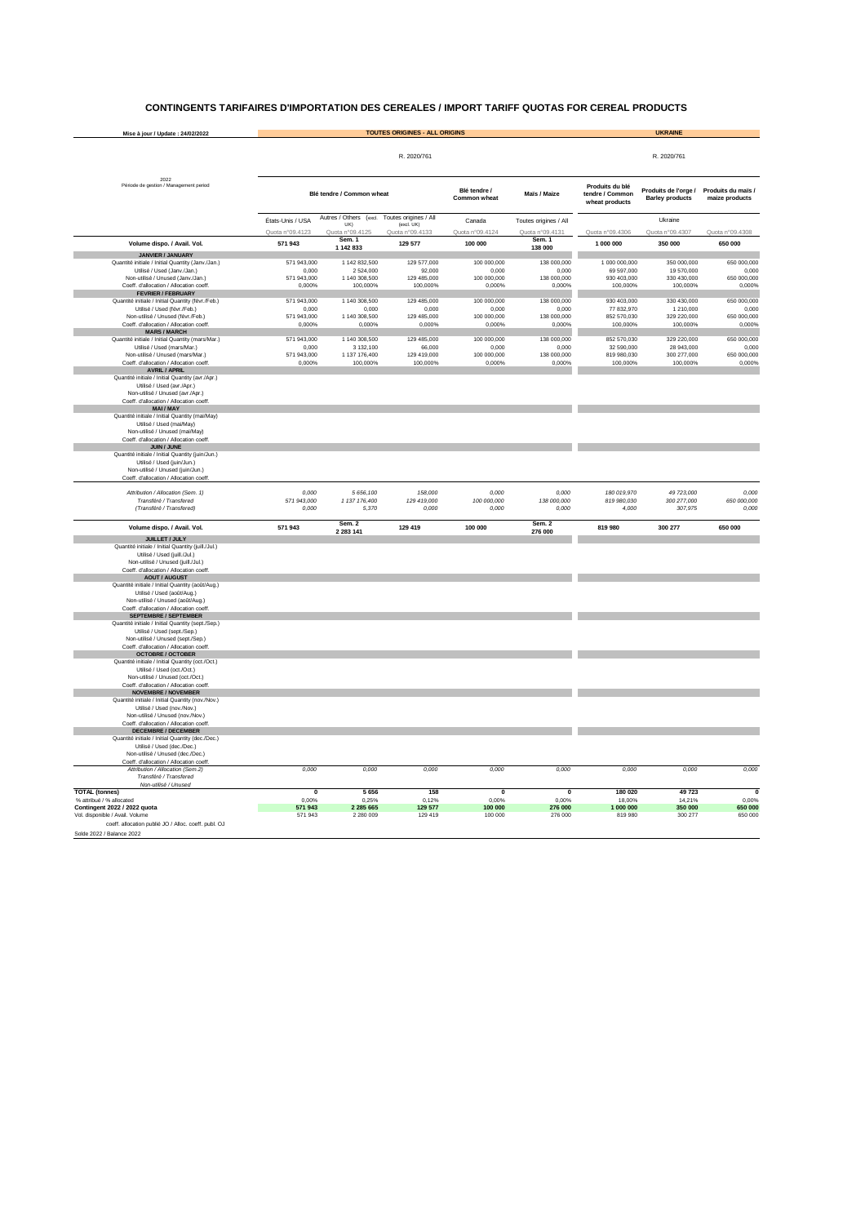| Mise à jour / Update: 24/02/2022                                                  |                                     | <b>TOUTES ORIGINES - ALL ORIGINS</b>             | <b>UKRAINE</b>                                         |                                     |                                          |                                                      |                                                |                                      |
|-----------------------------------------------------------------------------------|-------------------------------------|--------------------------------------------------|--------------------------------------------------------|-------------------------------------|------------------------------------------|------------------------------------------------------|------------------------------------------------|--------------------------------------|
|                                                                                   |                                     |                                                  |                                                        | R. 2020/761                         |                                          |                                                      |                                                |                                      |
| 2022<br>Période de gestion / Management period                                    |                                     | Blé tendre / Common wheat                        |                                                        | Blé tendre /<br><b>Common wheat</b> | Maïs / Maize                             | Produits du blé<br>tendre / Common<br>wheat products | Produits de l'orge /<br><b>Barley products</b> | Produits du maïs /<br>maize products |
|                                                                                   | États-Unis / USA<br>Quota n°09.4123 | Autres / Others (excl.<br>UK)<br>Quota n°09.4125 | Toutes origines / All<br>(excl. UK)<br>Quota n°09.4133 | Canada<br>Quota n°09.4124           | Toutes origines / All<br>Quota n°09.4131 | Quota n°09.4306                                      | Ukraine<br>Quota n°09.4307                     | Quota n°09.4308                      |
| Volume dispo. / Avail. Vol.                                                       | 571 943                             | Sem. 1                                           | 129 577                                                | 100 000                             | Sem. 1                                   | 1 000 000                                            | 350 000                                        | 650 000                              |
| <b>JANVIER / JANUARY</b>                                                          |                                     | 1 142 833                                        |                                                        |                                     | 138 000                                  |                                                      |                                                |                                      |
| Quantité initiale / Initial Quantity (Janv./Jan.)                                 | 571 943,000                         | 1 142 832,500                                    | 129 577,000                                            | 100 000,000                         | 138 000,000                              | 1 000 000,000                                        | 350 000,000                                    | 650 000,000                          |
| Utilisé / Used (Janv./Jan.)<br>Non-utilisé / Unused (Janv./Jan.)                  | 0,000<br>571 943,000                | 2 524,000<br>1 140 308,500                       | 92,000<br>129 485,000                                  | 0,000<br>100 000,000                | 0,000<br>138 000,000                     | 69 597,000<br>930 403,000                            | 19 570,000<br>330 430,000                      | 0,000<br>650 000,000                 |
| Coeff. d'allocation / Allocation coeff.                                           | 0,000%                              | 100,000%                                         | 100,000%                                               | 0,000%                              | 0,000%                                   | 100,000%                                             | 100,000%                                       | 0,000%                               |
| <b>FEVRIER / FEBRUARY</b><br>Quantité initiale / Initial Quantity (févr./Feb.)    | 571 943,000                         | 1 140 308,500                                    | 129 485,000                                            | 100 000,000                         | 138 000,000                              | 930 403,000                                          | 330 430,000                                    | 650 000,000                          |
| Utilisé / Used (févr./Feb.)                                                       | 0,000                               | 0,000                                            | 0,000                                                  | 0,000                               | 0,000                                    | 77 832,970                                           | 1 210,000                                      | 0,000                                |
| Non-utilisé / Unused (févr./Feb.)<br>Coeff. d'allocation / Allocation coeff.      | 571 943,000<br>0,000%               | 1 140 308,500<br>0,000%                          | 129 485,000<br>0,000%                                  | 100 000,000<br>0,000%               | 138 000,000<br>0,000%                    | 852 570,030<br>100,000%                              | 329 220,000<br>100,000%                        | 650 000,000<br>0,000%                |
| <b>MARS / MARCH</b>                                                               |                                     |                                                  |                                                        |                                     |                                          |                                                      |                                                |                                      |
| Quantité initiale / Initial Quantity (mars/Mar.)<br>Utilisé / Used (mars/Mar.)    | 571 943,000<br>0,000                | 1 140 308,500<br>3 132,100                       | 129 485,000<br>66,000                                  | 100 000,000<br>0,000                | 138 000,000<br>0,000                     | 852 570,030<br>32 590,000                            | 329 220,000<br>28 943,000                      | 650 000,000<br>0,000                 |
| Non-utilisé / Unused (mars/Mar.)                                                  | 571 943,000                         | 1 137 176,400                                    | 129 419,000                                            | 100 000,000                         | 138 000,000                              | 819 980,030                                          | 300 277,000                                    | 650 000,000                          |
| Coeff. d'allocation / Allocation coeff.<br><b>AVRIL / APRIL</b>                   | 0,000%                              | 100,000%                                         | 100,000%                                               | 0,000%                              | 0,000%                                   | 100,000%                                             | 100,000%                                       | 0,000%                               |
| Quantité initiale / Initial Quantity (avr./Apr.)                                  |                                     |                                                  |                                                        |                                     |                                          |                                                      |                                                |                                      |
| Utilisé / Used (avr./Apr.)                                                        |                                     |                                                  |                                                        |                                     |                                          |                                                      |                                                |                                      |
| Non-utilisé / Unused (avr./Apr.)<br>Coeff. d'allocation / Allocation coeff.       |                                     |                                                  |                                                        |                                     |                                          |                                                      |                                                |                                      |
| <b>MAI/MAY</b>                                                                    |                                     |                                                  |                                                        |                                     |                                          |                                                      |                                                |                                      |
| Quantité initiale / Initial Quantity (mai/May)<br>Utilisé / Used (mai/May)        |                                     |                                                  |                                                        |                                     |                                          |                                                      |                                                |                                      |
| Non-utilisé / Unused (mai/May)                                                    |                                     |                                                  |                                                        |                                     |                                          |                                                      |                                                |                                      |
| Coeff. d'allocation / Allocation coeff.<br><b>JUIN / JUNE</b>                     |                                     |                                                  |                                                        |                                     |                                          |                                                      |                                                |                                      |
| Quantité initiale / Initial Quantity (juin/Jun.)                                  |                                     |                                                  |                                                        |                                     |                                          |                                                      |                                                |                                      |
| Utilisé / Used (juin/Jun.)<br>Non-utilisé / Unused (juin/Jun.)                    |                                     |                                                  |                                                        |                                     |                                          |                                                      |                                                |                                      |
| Coeff. d'allocation / Allocation coeff.                                           |                                     |                                                  |                                                        |                                     |                                          |                                                      |                                                |                                      |
| Attribution / Allocation (Sem. 1)                                                 | 0,000                               | 5 656,100                                        | 158,000                                                | 0,000                               | 0,000                                    | 180 019,970                                          | 49 723,000                                     | 0,000                                |
| Transféré / Transfered                                                            | 571 943,000                         | 1 137 176,400                                    | 129 419,000                                            | 100 000,000                         | 138 000,000                              | 819 980,030                                          | 300 277,000                                    | 650 000,000                          |
| (Transféré / Transfered)                                                          | 0,000                               | 5,370                                            | 0,000                                                  | 0,000                               | 0,000                                    | 4,000                                                | 307,975                                        | 0,000                                |
| Volume dispo. / Avail. Vol.                                                       | 571 943                             | Sem. 2<br>2 2 8 3 1 4 1                          | 129 419                                                | 100 000                             | Sem. 2<br>276 000                        | 819 980                                              | 300 277                                        | 650 000                              |
| <b>JUILLET / JULY</b><br>Quantité initiale / Initial Quantity (juill./Jul.)       |                                     |                                                  |                                                        |                                     |                                          |                                                      |                                                |                                      |
| Utilisé / Used (juill./Jul.)                                                      |                                     |                                                  |                                                        |                                     |                                          |                                                      |                                                |                                      |
| Non-utilisé / Unused (juill./Jul.)<br>Coeff. d'allocation / Allocation coeff.     |                                     |                                                  |                                                        |                                     |                                          |                                                      |                                                |                                      |
| <b>AOUT / AUGUST</b>                                                              |                                     |                                                  |                                                        |                                     |                                          |                                                      |                                                |                                      |
| Quantité initiale / Initial Quantity (août/Aug.)                                  |                                     |                                                  |                                                        |                                     |                                          |                                                      |                                                |                                      |
| Utilisé / Used (août/Aug.)<br>Non-utilisé / Unused (août/Aug.)                    |                                     |                                                  |                                                        |                                     |                                          |                                                      |                                                |                                      |
| Coeff. d'allocation / Allocation coeff.                                           |                                     |                                                  |                                                        |                                     |                                          |                                                      |                                                |                                      |
| <b>SEPTEMBRE / SEPTEMBER</b><br>Quantité initiale / Initial Quantity (sept./Sep.) |                                     |                                                  |                                                        |                                     |                                          |                                                      |                                                |                                      |
| Utilisé / Used (sept./Sep.)                                                       |                                     |                                                  |                                                        |                                     |                                          |                                                      |                                                |                                      |
| Non-utilisé / Unused (sept./Sep.)<br>Coeff. d'allocation / Allocation coeff.      |                                     |                                                  |                                                        |                                     |                                          |                                                      |                                                |                                      |
| <b>OCTOBRE / OCTOBER</b>                                                          |                                     |                                                  |                                                        |                                     |                                          |                                                      |                                                |                                      |
| Quantité initiale / Initial Quantity (oct./Oct.)<br>Utilisé / Used (oct./Oct.)    |                                     |                                                  |                                                        |                                     |                                          |                                                      |                                                |                                      |
| Non-utilisé / Unused (oct./Oct.)                                                  |                                     |                                                  |                                                        |                                     |                                          |                                                      |                                                |                                      |
| Coeff. d'allocation / Allocation coeff.                                           |                                     |                                                  |                                                        |                                     |                                          |                                                      |                                                |                                      |
| <b>NOVEMBRE / NOVEMBER</b><br>Quantité initiale / Initial Quantity (nov./Nov.)    |                                     |                                                  |                                                        |                                     |                                          |                                                      |                                                |                                      |
| Utilisé / Used (nov./Nov.)                                                        |                                     |                                                  |                                                        |                                     |                                          |                                                      |                                                |                                      |
| Non-utilisé / Unused (nov./Nov.)<br>Coeff. d'allocation / Allocation coeff.       |                                     |                                                  |                                                        |                                     |                                          |                                                      |                                                |                                      |
| <b>DECEMBRE / DECEMBER</b>                                                        |                                     |                                                  |                                                        |                                     |                                          |                                                      |                                                |                                      |
| Quantité initiale / Initial Quantity (dec./Dec.)<br>Utilisé / Used (dec./Dec.)    |                                     |                                                  |                                                        |                                     |                                          |                                                      |                                                |                                      |
| Non-utilisé / Unused (dec./Dec.)                                                  |                                     |                                                  |                                                        |                                     |                                          |                                                      |                                                |                                      |
| Coeff. d'allocation / Allocation coeff<br>Attribution / Allocation (Sem.2)        | 0,000                               | 0,000                                            | 0,000                                                  | 0,000                               | 0,000                                    | 0,000                                                | 0,000                                          | 0,000                                |
| Transféré / Transfered                                                            |                                     |                                                  |                                                        |                                     |                                          |                                                      |                                                |                                      |
| Non-utilisé / Unused<br><b>TOTAL (tonnes)</b>                                     | $\mathbf 0$                         | 5 6 5 6                                          | 158                                                    | $\mathbf 0$                         | $\mathbf 0$                              | 180 020                                              | 49 723                                         | $\mathbf 0$                          |
| % attribué / % allocated                                                          | 0,00%                               | 0,25%                                            | 0,12%                                                  | 0,00%                               | 0,00%                                    | 18,00%                                               | 14,21%                                         | 0,00%                                |
| <b>Contingent 2022 / 2022 quota</b><br>Vol. disponible / Avail. Volume            | 571 943<br>571943                   | 2 2 8 5 6 6 5<br>2 2 8 0 0 0 9                   | 129 577<br>129 419                                     | 100 000<br>100 000                  | 276 000<br>276 000                       | 1 000 000<br>819 980                                 | 350 000<br>300 277                             | 650 000<br>650 000                   |
| coeff. allocation publié JO / Alloc. coeff. publ. OJ                              |                                     |                                                  |                                                        |                                     |                                          |                                                      |                                                |                                      |
| Solde 2022 / Balance 2022                                                         |                                     |                                                  |                                                        |                                     |                                          |                                                      |                                                |                                      |

### **CONTINGENTS TARIFAIRES D'IMPORTATION DES CEREALES / IMPORT TARIFF QUOTAS FOR CEREAL PRODUCTS**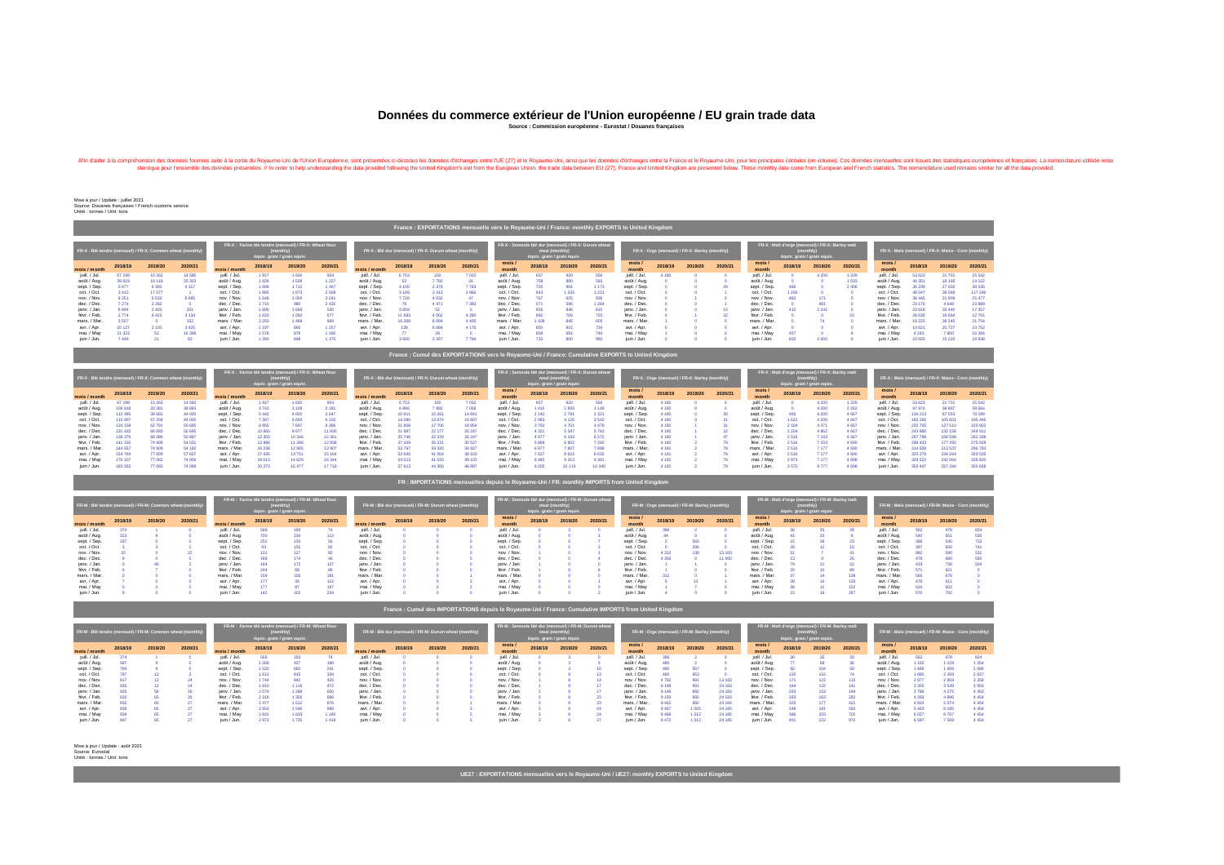Throm Européenne, sont présendes données fournies suite à la sortie du Royaume-Uni de l'Union Européenne, sont présentées ci-dessous les données d'échanges entre la France et le Royaume-Uni, ainsi que les données d'échange The seman one France and United Schong and the semble desidentique pour l'ensemtées. // In order to help understanding the data provided following the United Kingdom's exit from the European Union, the trade data between E

Unité : tonnes / Unit: tons

### Source: Douanes françaises / French customs service Mise à jour / Update : juillet 2021

|                                                                                                                                                                 | Trailed . EXPUNTATIONS INCIDENCING TO NO NOTIFICATION TRAILER INSTITUTION IS TO UNITED MILGUINITY |         |         |               |         |         |                                                        |               |                                                                                                       |         |                         |                                               |         |         |         |               |                                                                                              |         |                                                      |                 |         |         |         |                |         |         |         |
|-----------------------------------------------------------------------------------------------------------------------------------------------------------------|---------------------------------------------------------------------------------------------------|---------|---------|---------------|---------|---------|--------------------------------------------------------|---------------|-------------------------------------------------------------------------------------------------------|---------|-------------------------|-----------------------------------------------|---------|---------|---------|---------------|----------------------------------------------------------------------------------------------|---------|------------------------------------------------------|-----------------|---------|---------|---------|----------------|---------|---------|---------|
| FR-X : Farine blé tendre (mensuel) / FR-X: Wheat flour<br>FR-X : Blé tendre (mensuel) / FR-X: Common wheat (monthly)<br>(monthly<br>équiv. grain / grain equiv. |                                                                                                   |         |         |               |         |         | FR-X : Blé dur (mensuel) / FR-X: Durum wheat (monthly) |               | FR-X : Semoule blé dur (mensuel) / FR-X: Durum wheat<br>meal (monthly)<br>équiv. grain / grain équiv. |         |                         | FR-X: Orge (mensuel) / FR-X: Barley (monthly) |         |         |         |               | FR-X : Malt d'orge (mensuel) / FR-X: Barley malt<br>(monthly)<br>équiv. grain / grain equiv. |         | FR-X : Maïs (mensuel) / FR-X: Maize - Corn (monthly) |                 |         |         |         |                |         |         |         |
| mois / month                                                                                                                                                    | 2018/19                                                                                           | 2019/20 | 2020/21 | mois / month  | 2018/19 | 2019/20 | 2020/21                                                | mois / month  | 2018/19                                                                                               | 2019/20 | 2020/21                 | mois/<br>month                                | 2018/19 | 2019/20 | 2020/21 | mois<br>month | 2018/19                                                                                      | 2019/20 | 2020/21                                              | mois /<br>month | 2018/19 | 2019/20 | 2020/21 | mois/<br>month | 2018/19 | 2019/20 | 2020/21 |
| juill. / Jul.                                                                                                                                                   | 67 199                                                                                            | 15 263  | 14 580  | juill. / Jul. | 1917    | 1 600   | 954                                                    | juill. / Jul. | 6753                                                                                                  | 100     | 7 0 3 2                 | juill. / Jul.                                 | 657     | 920     | 556     | juill. / Jul. | 4 1 8 0                                                                                      |         |                                                      | juill. / Jul.   |         | 4 200   | 1 2 2 9 | juill. / Jul.  | 53 623  | 21 701  | 25 5 42 |
| août / Aug.                                                                                                                                                     | 39 619                                                                                            | 18 118  | 25 30 3 | août / Aug.   | 1826    | 1 508   | 1 2 2 7                                                | août / Aug.   | -53                                                                                                   | 7782    | 26                      | août / Aug.                                   | 758     | 880     |         | août / Aug.   |                                                                                              |         |                                                      | août / Aug.     |         |         | 1 0 3 3 | août / Aug.    | 44 351  | 18 19 6 | 14 122  |
| sept. / Sep.                                                                                                                                                    | 5677                                                                                              | 6 300   | 4 1 1 7 | sept. / Sep.  | 1 699   | 1 7 1 2 | 1 4 6 7                                                | sept. / Sep.  | 4 105                                                                                                 | 2 3 7 9 | 7 7 8 3                 | sept. / Sep.                                  | 725     | 991     | 1 173   | sept. / Sep.  |                                                                                              |         |                                                      | sept. / Sep.    | 466     |         | 2 4 0 6 | sept. / Sep.   | 36 239  | 27 656  | 38 535  |
| oct. / Oct.                                                                                                                                                     | 3 4 1 2                                                                                           | 17 577  |         | oct. / Oct.   | 1865    | 1873    | 2 5 0 8                                                | oct. / Oct.   |                                                                                                       | 3413    | 3 9 6 6                 | oct. / Oct.                                   | 843     | 1 3 3 5 | 1 2 2 1 | oct. / Oct.   |                                                                                              |         |                                                      | oct. / Oct.     | 1 156   |         |         | oct. / Oct.    | 48 047  | 38 048  | 117 246 |
| nov. / Nov.                                                                                                                                                     | 8 2 5 1                                                                                           | 5 5 3 3 | 6 6 9 5 | nov. / Nov.   | 1 6 4 8 | 1 0 0 4 | 3 2 4 1                                                | nov. / Nov.   | 7 728                                                                                                 | 4 0 3 2 | 47                      | nov. / Nov.                                   | 767     | 625     | -936    | nov. / Nov.   |                                                                                              |         |                                                      | nov. / Nov.     | 482     | 171     |         | nov. / Nov.    | 38 445  | 21 909  | 25 477  |
| dec. / Dec.                                                                                                                                                     | 7 274                                                                                             | 3 2 9 2 |         | dec. / Dec.   | 1 710   | 980     | 2 4 3 5                                                | dec. / Dec.   |                                                                                                       | 4 4 7 1 | 7 3 9 3                 | dec. / Dec.                                   | 571     | 596     | 1 2 8 4 | dec. / Dec.   |                                                                                              |         |                                                      | dec. / Dec.     |         | 491     |         | dec. / Dec.    | 23 175  | 4 6 4 8 | 23 989  |
| janv. / Jan.                                                                                                                                                    | 6944                                                                                              | 2 4 0 3 | 201     | janv. / Jan.  | 1 6 9 0 | 1 6 6 9 | 530                                                    | janv. / Jan.  | 3859                                                                                                  | 52      |                         | janv. / Jan.                                  | 656     | 846     |         | janv. / Jan.  |                                                                                              |         |                                                      | janv. / Jan.    | 412     | 2 2 4 1 |         | janv. / Jan.   | 23 918  | 26 440  | 17 357  |
| févr. / Feb.                                                                                                                                                    | 2 7 7 4                                                                                           | 6423    | 3 1 3 4 | févr. / Feb.  | 1 633   | 1 0 5 0 | 577                                                    | févr. / Feb.  | 11 683                                                                                                | 4 0 0 2 | 4 2 8 0                 | févr. / Feb.                                  | 892     | 769     |         | févr. / Feb.  |                                                                                              |         |                                                      | févr. / Feb.    |         |         |         | févr. / Feb.   | 28 635  | 18 694  | 12761   |
| mars. / Mar.                                                                                                                                                    | 3 5 0 7                                                                                           |         | 152     | mars. / Mar.  | 2 2 5 0 | 1489    | 969                                                    | mars. / Mar.  | 16 3 68                                                                                               | 8 0 8 9 | 4 4 0 0                 | mars. / Mar.                                  |         | 845     | -60     | mars. / Mar.  |                                                                                              |         |                                                      | mars. / Mar.    |         |         |         | mars. / Mar.   | 18 2 25 | 36 245  | 21 754  |
| avr. / Apr.                                                                                                                                                     | 10 127                                                                                            | 2 100   | 3 4 2 5 | avr. / Apr.   | 1 197   | 866     | 1 2 5 7                                                | avr. / Apr.   | 139                                                                                                   | 6 6 8 4 | 4 176                   | avr. / Apr.                                   | 650     | 815     |         | avr. / Apr.   |                                                                                              |         |                                                      | avr. / Apr.     |         |         |         | avr. / Apr.    | 10 621  | 20 727  | 23 7 52 |
| mai. / May                                                                                                                                                      | 21 3 23                                                                                           | -53     | 16 399  | mai. / May    | 1 578   | 878     | 1 1 8 0                                                | mai. / May    |                                                                                                       | -29     | $\overline{\mathbf{0}}$ | mai. / May                                    | 858     | 691     | 749     | mai. / May    |                                                                                              |         |                                                      | mai. / May      | 457     |         |         | mai. / May     | 4 243   | 7 800   | 16 284  |
| juin / Jun.                                                                                                                                                     | 7448                                                                                              |         | 83      | juin / Jun.   | 1 2 6 0 | 848     | 1 3 7 5                                                | juin / Jun.   | 3 600                                                                                                 | 3 2 6 7 | 7 7 9 4                 | juin / Jun.                                   | 720     | 800     | 960     | juin / Jun.   |                                                                                              |         |                                                      | juin / Jun.     | 602     | 2 600   |         | juin / Jun.    | 23 925  | 15 2 20 | 18 838  |

|               |         |         | FR-X : Blé tendre (mensuel) / FR-X: Common wheat (monthly) | FR-X : Farine blé tendre (mensuel) / FR-X: Wheat flour<br>montni<br>équiv. grain / grain equiv. |         |         | FR-X : Blé dur (mensuel) / FR-X: Durum wheat (monthly) |               |         |         | <b>FR-X : Semoule blé dur (mensuel) / FR-X: Durum wheat  </b><br>meal (monthly)<br>équiv. grain / grain équiv. |                 |         | FR-X: Orge (mensuel) / FR-X: Barley (monthly) |         |               |         | <b>FR-X : Malt d'orge (mensuel) / FR-X: Barley malt</b><br>(monthly)<br>équiv. grain / grain equiv. | FR-X : Maïs (mensuel) / FR-X: Maize - Corn (monthly) |                 |         |         |         |                |         |         |                  |
|---------------|---------|---------|------------------------------------------------------------|-------------------------------------------------------------------------------------------------|---------|---------|--------------------------------------------------------|---------------|---------|---------|----------------------------------------------------------------------------------------------------------------|-----------------|---------|-----------------------------------------------|---------|---------------|---------|-----------------------------------------------------------------------------------------------------|------------------------------------------------------|-----------------|---------|---------|---------|----------------|---------|---------|------------------|
| mois / month  | 2018/19 | 2019/20 | 2020/21                                                    | mois / month                                                                                    | 2018/19 | 2019/20 | 2020/21                                                | mois / month  | 2018/19 | 2019/20 | 2020/21                                                                                                        | mois/<br>month  | 2018/19 | 2019/20                                       | 2020/21 | mois<br>month | 2018/19 | 2019/20                                                                                             | 2020/21                                              | mois /<br>month | 2018/19 | 2019/20 | 2020/21 | mois/<br>month | 2018/19 | 2019/20 | 2020/21          |
| juill. / Jul. | 67 199  | 15 263  | 14 580                                                     | juill. / Jul.                                                                                   | 917     | 1 600   | 954                                                    | juill. / Jul. |         | 100     | 7 0 3 2                                                                                                        | juill. / Jul. l | 657     | 920                                           | 556     | juill. / Jul. |         |                                                                                                     |                                                      | juill. / Jul.   |         | 4 200   | 1 2 2 9 | juill. / Jul.  | 53 623  | 21 701  | 25 542           |
| août / Aug.   | 106818  | 33 381  | 39 883                                                     | août / Aug.                                                                                     | 3743    | 3 1 0 8 | 2 181                                                  | août / Aug.   | 6 806   | 7882    | 7 0 5 8                                                                                                        | août / Aug.     | 1 4 1 5 | 1 800                                         |         | août / Aug.   |         |                                                                                                     |                                                      | août / Aug.     |         | 4 200   | 2 2 6 2 | août / Aug.    | 97 974  | 39 897  | 39 6 64          |
| sept. / Sep.  | 112 495 | 39 681  | 44 000                                                     | sept. / Sep.                                                                                    | 5 4 4 2 | 4 8 20  |                                                        | sept. / Sep.  |         | 10 261  | 14 841                                                                                                         | sept. / Sep.    | 2 140   | 2 7 9 1                                       |         | sept. / Sep.  |         |                                                                                                     |                                                      | sept. / Sep.    | 466     | 4 200   | 4 6 67  | sept. / Sep.   | 134 213 | 67 553  | 78 199           |
| oct. / Oct.   | 115 907 | 57 258  | 44 000                                                     | oct. / Oct.                                                                                     | 7 307   | 6 6 9 3 | 6 1 5 5                                                | oct. / Oct.   | 14 080  | 13 674  | 18 807                                                                                                         | oct. / Oct.     | 2 983   | 4 1 2 6                                       | 3 542   | oct. / Oct.   |         |                                                                                                     |                                                      | oct. / Oct.     | 1 622   | 4 200   | 4 667   | oct. / Oct.    | 182 260 | 105 601 | 195 445          |
| nov. / Nov.   | 124 158 | 62 791  | 50 695                                                     | nov. / Nov.                                                                                     | 8955    | 7697    | 9 3 9 6                                                | nov. / Nov.   | 21 808  | 17 706  | 18 854                                                                                                         | nov. / Nov.     | 3 7 5 0 | 4 7 5 1                                       | 4 4 7 8 | nov. / Nov.   |         |                                                                                                     |                                                      | nov. / Nov.     | 2 104   | 4 3 7 1 | 4 6 6 7 | nov. / Nov.    | 220 705 | 127 510 | 220 922          |
| dec. / Dec.   | 131 432 | 66 083  | 50 695                                                     | dec. / Dec.                                                                                     | 10 665  | 8677    | 11 830                                                 | dec. / Dec.   | 21 887  | 22 177  | 26 247                                                                                                         | dec. / Dec.     | 4 3 2 1 | 5 3 4 7                                       |         | dec. / Dec.   |         |                                                                                                     |                                                      | dec. / Dec.     | 2 104   | 4 862   | 4 6 6 7 | dec. / Dec.    | 243 880 | 132 158 | $244.91^{\circ}$ |
| janv. / Jan.  | 138 376 | 68 486  | 50 897                                                     | janv. / Jan.                                                                                    | 12 355  | 10 346  | 12 3 61                                                | janv. / Jan.  | 25 746  | 22 229  | 26 247                                                                                                         | janv. / Jan.    | 4 9 7 7 | 6 1 9 3                                       |         | janv. / Jan.  | 4 180   |                                                                                                     |                                                      | ianv. / Jan.    | 2516    | 7 103.  | 4 6 6 7 | janv. / Jan.   | 267 798 | 158 598 | 262 268          |
| févr. / Feb.  | 141 150 | 74 909  | 54 031                                                     | févr. / Feb.                                                                                    | 13 988  | 11 396  | 12 938                                                 | févr. / Feb.  | 37 4 29 | 26 231  | 30 527                                                                                                         | févr. / Feb.    |         | 6962                                          |         | févr. / Feb.  | 4 180   |                                                                                                     |                                                      | févr. / Feb.    | 2 5 1 6 | 7103    | 4 6 9 0 | févr. / Feb.   | 296 433 | 177 292 | 275 029          |
| mars. / Mar.  | 144 657 | 74 909  | 54 182                                                     | mars. / Mar.                                                                                    | 16 238  | 12 885  | 13 907                                                 | mars. / Mar.  | 53 797  | 34 320  | 34 927                                                                                                         | mars. / Mar.    | 6.977   | 7 807                                         |         | mars. / Mar.  |         |                                                                                                     |                                                      | mars. / Mar.    | 2516    | 7 177   | 4 6 9 0 | mars. / Mar.   | 314 658 | 213 537 | 296 783          |
| avr. / Apr.   | 154 784 | 77 009  | 57 607                                                     | avr. / Apr.                                                                                     | 17 435  | 13751   |                                                        | avr. / Apr.   | 53 936  | 41 004  | 39 103                                                                                                         | avr. / Apr.     | 7627    | 8 6 22                                        | 8 632   | avr. / Apr.   |         |                                                                                                     |                                                      | avr. / Apr.     | 2 5 1 6 | 7 177   | 4 6 9 0 | avr. / Apr.    | 325 279 | 234 264 | 320 535          |
| mai. / May    | 176 107 | 77 062  | 74 006                                                     | mai. / May                                                                                      | 19 013  | 14 629  | 16 344                                                 | mai. / May    | 54 013  | 41 033  | 39 103                                                                                                         | mai. / May      | 8 4 8 5 | 9 3 1 3                                       |         | mai. / May    | 4 1 8 2 |                                                                                                     |                                                      | mai. / May      | 2973    | 7 177   | -4 698  | mai. / May     | 329 522 | 242 064 | 336 820          |
| juin / Jun.   | 183 555 | 77 083  | 74 089                                                     | juin / Jun.                                                                                     | 20 273  | 15 477  | 17 718                                                 | juin / Jun.   | 57 613  | 44 300  | 46 897                                                                                                         | juin / Jun.     | 9 205   | 10 113                                        | 10 340  | juin / Jun.   | 4 1 8 2 |                                                                                                     |                                                      | juin / Jun.     | 3 575   | 9 777   | 4 6 9 8 | juin / Jun.    | 353 447 | 257 284 | 355 658          |

| FR-M : Blé tendre (mensuel) / FR-M: Common wheat (monthly) |         |         |         |               |         | FR-M : Farine blé tendre (mensuel) / FR-M: Wheat flour<br>équiv. grain / grain equiv. |         |               |         | FR-M : Blé dur (mensuel) / FR-M: Durum wheat (monthly) |         | FR-M : Semoule blé dur (mensuel) / FR-M: Durum wheat | meal (monthly | équiv. grain / grain équiv. |         |                |         | FR-M : Orge (mensuel) / FR-M: Barley (monthly) |         |               | équiv. grain / grain equiv. | FR-M : Malt d'orge (mensuel) / FR-M: Barley malt |         |                |         | FR-M : Maïs (mensuel) / FR-M: Maize - Corn (monthly) |         |
|------------------------------------------------------------|---------|---------|---------|---------------|---------|---------------------------------------------------------------------------------------|---------|---------------|---------|--------------------------------------------------------|---------|------------------------------------------------------|---------------|-----------------------------|---------|----------------|---------|------------------------------------------------|---------|---------------|-----------------------------|--------------------------------------------------|---------|----------------|---------|------------------------------------------------------|---------|
| mois / month                                               | 2018/19 | 2019/20 | 2020/21 | mois / month  | 2018/19 | 2019/20                                                                               | 2020/21 | mois / month  | 2018/19 | 2019/20                                                | 2020/21 | mois/<br>month                                       | 2018/19       | 2019/20                     | 2020/21 | mois/<br>month | 2018/19 | 2019/20                                        | 2020/21 | mois<br>month | 2018/19                     | 2019/20                                          | 2020/21 | mois/<br>month | 2018/19 | 2019/20                                              | 2020/21 |
| juill. / Jul.                                              |         |         |         | juill. / Jul. | 568     | 193                                                                                   |         | juill. / Jul. |         |                                                        |         | juill. / Jul.                                        |               |                             |         | juill. / Jul.  |         |                                                |         | juill. / Jul. |                             |                                                  |         | juill. / Jul.  | 562     | 478                                                  | -824    |
| août / Aug.                                                | 223     |         |         | août / Aug.   | 700     | 234                                                                                   |         | août / Aug.   |         |                                                        |         | août / Aug.                                          |               |                             |         | août / Aug.    |         |                                                |         | août / Aug.   |                             |                                                  |         | août / Aug.    |         |                                                      |         |
| sept. / Sep.                                               |         |         |         | sept. / Sep.  | 252     | 233                                                                                   |         | sept. / Sep.  |         |                                                        |         | sept. / Sep.                                         |               |                             |         | sept. / Sep.   |         | 565                                            |         | sept. / Sep.  |                             |                                                  |         | sept. / Sep.   | 386     | 540                                                  |         |
| oct. / Oct.                                                |         |         |         | oct. / Oct.   |         | 155                                                                                   |         | oct. / Oct.   |         |                                                        |         | oct. / Oct.                                          |               |                             |         | oct. / Oct.    |         | 286                                            |         | oct. / Oct.   |                             |                                                  |         | oct. / Oct.    | 397     | 600                                                  |         |
| nov. / Nov.                                                |         |         |         | nov. / Nov.   |         | 127                                                                                   |         | nov. / Nov.   |         |                                                        |         | nov. / Nov.                                          |               |                             |         | nov. / Nov.    | 4 312   | 138                                            | 13 183  | nov. / Nov.   |                             |                                                  |         | nov. / Nov.    | -992    | 590                                                  |         |
| dec. / Dec.                                                |         |         |         | dec. / Dec.   | 166     | 174                                                                                   |         | dec. / Dec.   |         |                                                        |         | dec. / Dec.                                          |               |                             |         | dec. / Dec.    | 4 356   |                                                | 1 0 0 0 | dec. / Dec.   |                             |                                                  |         | dec. / Dec.    |         | 680                                                  |         |
| janv. / Jan.                                               |         |         |         | janv. / Jan.  | 164     | 172                                                                                   |         | janv. / Jan.  |         |                                                        |         | janv. / Jan.                                         |               |                             |         | janv. / Jan.   |         |                                                |         | janv. / Jan.  |                             |                                                  |         | janv. / Jan.   | 433     | 736                                                  |         |
| févr. / Feb.                                               |         |         |         | févr. / Feb.  | 244     | 68                                                                                    |         | févr. / Feb.  |         |                                                        |         | févr. / Feb.                                         |               |                             |         | févr. / Feb.   |         |                                                |         | févr. / Feb.  |                             |                                                  |         | févr. / Feb.   |         |                                                      |         |
| mars. / Mar.                                               |         |         |         | mars. / Mar.  |         | 156                                                                                   | 181     | mars. / Mar.  |         |                                                        |         | mars. / Mar.                                         |               |                             |         | mars. / Mar.   |         |                                                |         | mars. / Mar.  |                             |                                                  | 139     | mars. / Mar.   | 565     | 678                                                  |         |
| avr. / Apr.                                                |         |         |         | avr. / Apr.   | 177     |                                                                                       |         | avr. / Apr.   |         |                                                        |         | avr. / Apr.                                          |               |                             |         | avr. / Apr.    |         |                                                |         | avr. / Apr.   |                             |                                                  | 129     | avr. / Apr.    |         |                                                      |         |
| mai. / May                                                 |         |         |         | mai. / May    | 177     |                                                                                       | 187     | mai. / May    |         |                                                        |         | mai. / May                                           |               |                             |         | mai. / May     |         |                                                |         | mai. / May    |                             |                                                  | 152     | mai. / May     | 624     | 602                                                  |         |
| juin / Jun.                                                |         |         |         | juin / Jun.   | 142     |                                                                                       | 234     | juin / Jun.   |         |                                                        |         | juin / Jun.                                          |               |                             |         | juin / Jun.    |         |                                                |         | juin / Jun.   |                             |                                                  | 267     | juin / Jun.    | 570     |                                                      |         |

Unité : tonnes / Unit: tons

**France : Cumul des IMPORTATIONS depuis le Royaume-Uni / France: Cumulative IMPORTS from United Kingdom**

|               |         |         | FR-M : Blé tendre (mensuel) / FR-M: Common wheat (monthly) |               |         | FR-M : Farine blé tendre (mensuel) / FR-M: Wheat flour<br>monuniy<br>équiv. grain / grain equiv. |         |               |         | FR-M : Blé dur (mensuel) / FR-M: Durum wheat (monthly) |         | FR-M : Semoule blé dur (mensuel) / FR-M: Durum wheat | meal (monthly) | équiv. grain / grain équiv. |         |               |         | FR-M : Orge (mensuel) / FR-M: Barley (monthly) |         |               | équiv. grain / grain equiv. | FR-M : Malt d'orge (mensuel) / FR-M: Barley malt |         | FR-M : Maïs (mensuel) / FR-M: Maize - Corn (monthly) |         |         |         |
|---------------|---------|---------|------------------------------------------------------------|---------------|---------|--------------------------------------------------------------------------------------------------|---------|---------------|---------|--------------------------------------------------------|---------|------------------------------------------------------|----------------|-----------------------------|---------|---------------|---------|------------------------------------------------|---------|---------------|-----------------------------|--------------------------------------------------|---------|------------------------------------------------------|---------|---------|---------|
| mois / month  | 2018/19 | 2019/20 | 2020/21                                                    | mois / month  | 2020/21 | mois / month                                                                                     | 2018/19 | 2019/20       | 2020/21 | mois/<br>month                                         | 2018/19 | 2019/20                                              | 2020/21        | mois<br>month               | 2018/19 | 2019/20       | 2020/21 | mois /<br>month                                | 2018/19 | 2019/20       | 2020/21                     | mois/<br>month                                   | 2018/19 | 2019/20                                              | 2020/21 |         |         |
| juill. / Jul. | 374     |         |                                                            | juill. / Jul. | 568     | 193                                                                                              | 74      | juill. / Jul. |         |                                                        |         | juill. / Jul.                                        |                |                             |         | juill. / Jul. | 396     |                                                |         | juill. / Jul. |                             |                                                  | - 28    | juill. / Jul.                                        | 562     | 478     | - 824   |
| août / Aug.   | 597     |         |                                                            | août / Aug.   | 1 2 6 8 | 427                                                                                              | 186     | août / Aug.   |         |                                                        |         | août / Aug.                                          |                |                             |         | août / Aug.   | 480     |                                                |         | août / Aug.   |                             | 68.                                              |         | août / Aug.                                          | 1 102   | 1 1 2 9 | 1 3 5 4 |
| sept. / Sep.  | 794     |         |                                                            | sept. / Sep.  | 1 520   | 660                                                                                              | 241     | sept. / Sep.  |         |                                                        |         | sept. / Sep.                                         |                |                             |         | sept. / Sep.  | 480     | 567                                            |         | sept. / Sep.  |                             |                                                  |         | sept. / Sep.                                         | 1 488   | 1 6 6 9 | 2 0 8 6 |
| oct. / Oct.   |         |         |                                                            | oct. / Oct.   | 1 6 1 3 | 815                                                                                              | 334     | oct. / Oct.   |         |                                                        |         | oct. / Oct.                                          |                |                             |         | oct. / Oct.   | 480     |                                                |         | oct. / Oct.   |                             | 116                                              | 74      | oct. / Oct.                                          | 1 885   | 2 2 6 9 | 2 8 2 7 |
| nov. / Nov.   |         |         | $\angle$                                                   | nov. / Nov.   | 1744    | 942                                                                                              | 426     | nov. / Nov.   |         |                                                        |         | nov. / Nov.                                          |                |                             |         | nov. / Nov.   | 4 7 9 2 | -991                                           | 13 183  | nov. / Nov.   |                             | 123                                              | 115     | nov. / Nov.                                          | 2 877   | 2 8 5 9 | 3 3 5 8 |
| dec. / Dec.   | 826     |         | $\angle$                                                   | dec. / Dec.   | 1910    | 1 1 1 6                                                                                          | 472     | dec. / Dec.   |         |                                                        |         | dec. / Dec.                                          |                |                             |         | dec. / Dec.   | 9 1 4 8 | -991                                           | 24 183  | dec. / Dec.   | 184                         | 132                                              | 141     | dec. / Dec.                                          | 3 3 5 5 | 3 5 3 9 | 3 9 5 0 |
| janv. / Jan.  | 826     | 58      | 26                                                         | janv. / Jan.  | 2 0 7 4 | 1 2 8 8                                                                                          | 600     | janv. / Jan.  |         |                                                        |         | janv. / Jan.                                         |                |                             |         | janv. / Jan.  | 9 1 4 9 | -992                                           | 24 183  | janv. / Jan.  | 263                         | 153                                              | 194     | janv. / Jan.                                         | 3 788   | 4 275   | 4 4 5 3 |
| févr. / Feb.  | 832     |         | 26                                                         | févr. / Feb.  | 2 3 1 8 | 1 3 5 6                                                                                          | 696     | févr. / Feb.  |         |                                                        |         | févr. / Feb.                                         |                |                             |         | févr. / Feb.  | 9 1 5 0 | -992                                           | 24 183  | févr. / Feb.  | 283                         | 163                                              | 282     | févr. / Feb.                                         | 4 3 5 9 | 4 8 9 6 | 4 4 5 4 |
| mars. / Mar.  | 832     |         |                                                            | mars. / Mar.  | 2 4 7 7 | 1 5 1 2                                                                                          | 876     | mars. / Mar.  |         |                                                        |         | mars. / Mar.                                         |                |                             |         | mars. / Mar.  | 9462    | -992                                           | 24 184  | mars. / Mar.  |                             | 177                                              | 421     | mars. / Mar.                                         | 4 9 24  | 5 5 7 4 | 4 4 5 4 |
| avr. / Apr.   | 839     |         |                                                            | avr. / Apr.   | 2654    | 1 546                                                                                            | 999     | avr. / Apr.   |         |                                                        |         | avr. / Apr.                                          |                |                             |         | avr. / Apr.   | 9 4 6 7 | 1 0 0 5                                        | 24 185  | avr. / Apr.   | 348                         |                                                  | 550     | avr. / Apr.                                          | 5 403   | 6 1 8 5 | 4 4 5 4 |
| mai. / May    | 839     |         |                                                            | mai. / May    | 2 8 3 1 | 1 6 3 3                                                                                          | 1 1 8 5 | mai. / May    |         |                                                        |         | mai. / May                                           |                |                             |         | mai. / May    | 9 4 6 8 | 1 0 1 2                                        | 24 185  | mai. / May    | 386                         | 203                                              | 702     | mai. / May                                           | 6 0 27  | 6787    | 4 4 5 4 |
| juin / Jun.   | 847     | 65      |                                                            | juin / Jun.   | 2973    | 1735                                                                                             | 1419    | juin / Jun.   |         |                                                        |         | juin / Jun.                                          |                |                             |         | juin / Jun.   | 9 4 7 2 | 1012                                           | 24 185  | juin / Jun.   | 401                         | 222                                              | 970     | juin / Jun.                                          |         | 7 5 6 9 | 4 4 5 4 |

# **Données du commerce extérieur de l'Union européenne / EU grain trade data**

**Source : Commission européenne - Eurostat / Douanes françaises**

Source: Eurostat Mise à jour / Update : août 2021 **France : Cumul des EXPORTATIONS vers le Royaume-Uni / France: Cumulative EXPORTS to United Kingdom**

**FR : IMPORTATIONS mensuelles depuis le Royaume-Uni / FR: monthly IMPORTS from United Kingdom**

### **France : EXPORTATIONS mensuelle vers le Royaume-Uni / France: monthly EXPORTS to United Kingdom**